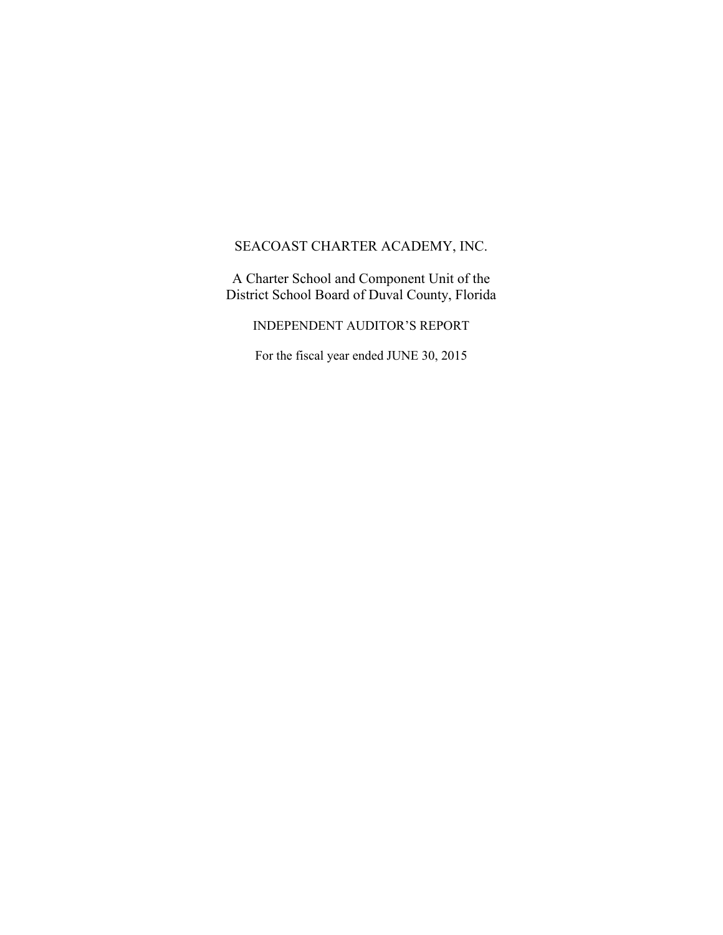A Charter School and Component Unit of the District School Board of Duval County, Florida

INDEPENDENT AUDITOR'S REPORT

For the fiscal year ended JUNE 30, 2015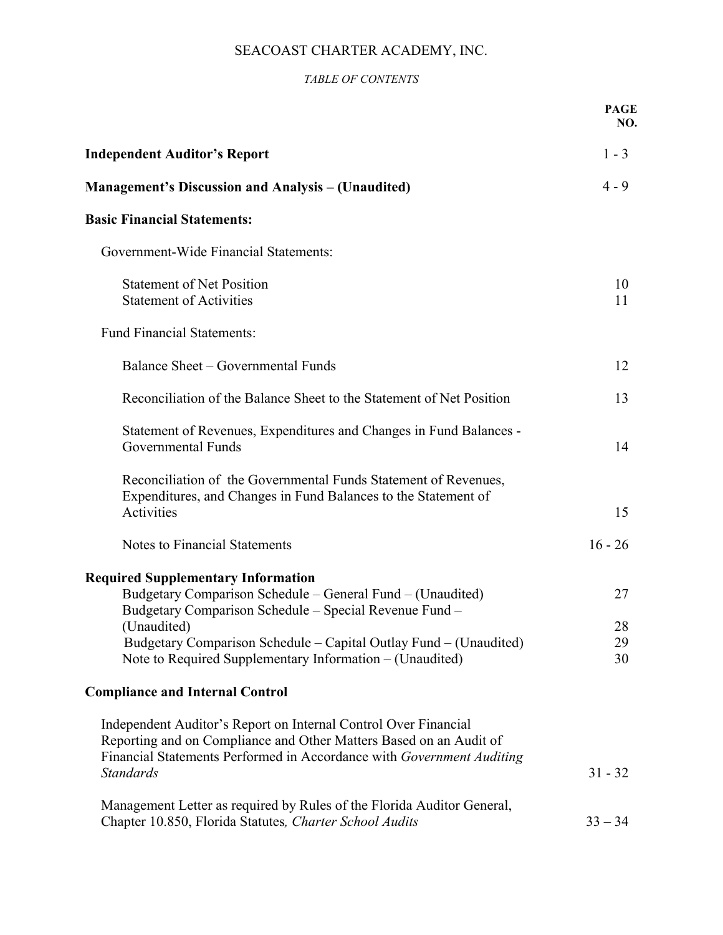## *TABLE OF CONTENTS*

|                                                                                                                                                                                                                                                                                                                   | <b>PAGE</b><br>NO.   |
|-------------------------------------------------------------------------------------------------------------------------------------------------------------------------------------------------------------------------------------------------------------------------------------------------------------------|----------------------|
| <b>Independent Auditor's Report</b>                                                                                                                                                                                                                                                                               | $1 - 3$              |
| <b>Management's Discussion and Analysis – (Unaudited)</b>                                                                                                                                                                                                                                                         | $4 - 9$              |
| <b>Basic Financial Statements:</b>                                                                                                                                                                                                                                                                                |                      |
| Government-Wide Financial Statements:                                                                                                                                                                                                                                                                             |                      |
| <b>Statement of Net Position</b><br><b>Statement of Activities</b>                                                                                                                                                                                                                                                | 10<br>11             |
| <b>Fund Financial Statements:</b>                                                                                                                                                                                                                                                                                 |                      |
| Balance Sheet – Governmental Funds                                                                                                                                                                                                                                                                                | 12                   |
| Reconciliation of the Balance Sheet to the Statement of Net Position                                                                                                                                                                                                                                              | 13                   |
| Statement of Revenues, Expenditures and Changes in Fund Balances -<br>Governmental Funds                                                                                                                                                                                                                          | 14                   |
| Reconciliation of the Governmental Funds Statement of Revenues,<br>Expenditures, and Changes in Fund Balances to the Statement of<br>Activities                                                                                                                                                                   | 15                   |
| Notes to Financial Statements                                                                                                                                                                                                                                                                                     | $16 - 26$            |
| <b>Required Supplementary Information</b><br>Budgetary Comparison Schedule – General Fund – (Unaudited)<br>Budgetary Comparison Schedule – Special Revenue Fund –<br>(Unaudited)<br>Budgetary Comparison Schedule – Capital Outlay Fund – (Unaudited)<br>Note to Required Supplementary Information – (Unaudited) | 27<br>28<br>29<br>30 |
| <b>Compliance and Internal Control</b>                                                                                                                                                                                                                                                                            |                      |
| Independent Auditor's Report on Internal Control Over Financial<br>Reporting and on Compliance and Other Matters Based on an Audit of<br>Financial Statements Performed in Accordance with Government Auditing<br><b>Standards</b>                                                                                | $31 - 32$            |
| Management Letter as required by Rules of the Florida Auditor General,<br>Chapter 10.850, Florida Statutes, Charter School Audits                                                                                                                                                                                 | $33 - 34$            |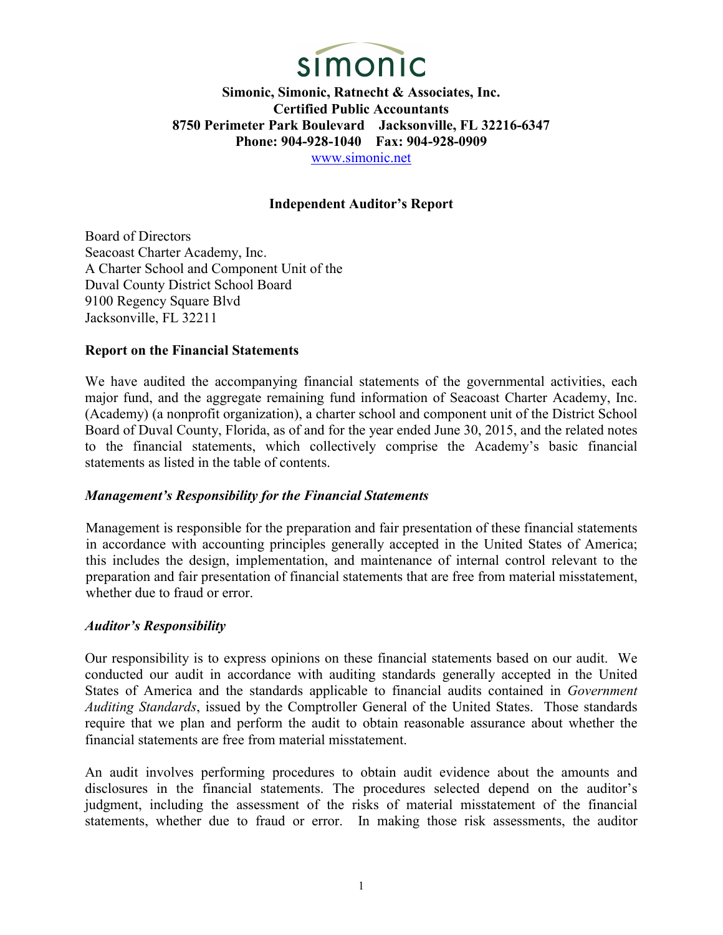

## **Independent Auditor's Report**

Board of Directors Seacoast Charter Academy, Inc. A Charter School and Component Unit of the Duval County District School Board 9100 Regency Square Blvd Jacksonville, FL 32211

#### **Report on the Financial Statements**

We have audited the accompanying financial statements of the governmental activities, each major fund, and the aggregate remaining fund information of Seacoast Charter Academy, Inc. (Academy) (a nonprofit organization), a charter school and component unit of the District School Board of Duval County, Florida, as of and for the year ended June 30, 2015, and the related notes to the financial statements, which collectively comprise the Academy's basic financial statements as listed in the table of contents.

#### *Management's Responsibility for the Financial Statements*

Management is responsible for the preparation and fair presentation of these financial statements in accordance with accounting principles generally accepted in the United States of America; this includes the design, implementation, and maintenance of internal control relevant to the preparation and fair presentation of financial statements that are free from material misstatement, whether due to fraud or error.

#### *Auditor's Responsibility*

Our responsibility is to express opinions on these financial statements based on our audit. We conducted our audit in accordance with auditing standards generally accepted in the United States of America and the standards applicable to financial audits contained in *Government Auditing Standards*, issued by the Comptroller General of the United States. Those standards require that we plan and perform the audit to obtain reasonable assurance about whether the financial statements are free from material misstatement.

An audit involves performing procedures to obtain audit evidence about the amounts and disclosures in the financial statements. The procedures selected depend on the auditor's judgment, including the assessment of the risks of material misstatement of the financial statements, whether due to fraud or error. In making those risk assessments, the auditor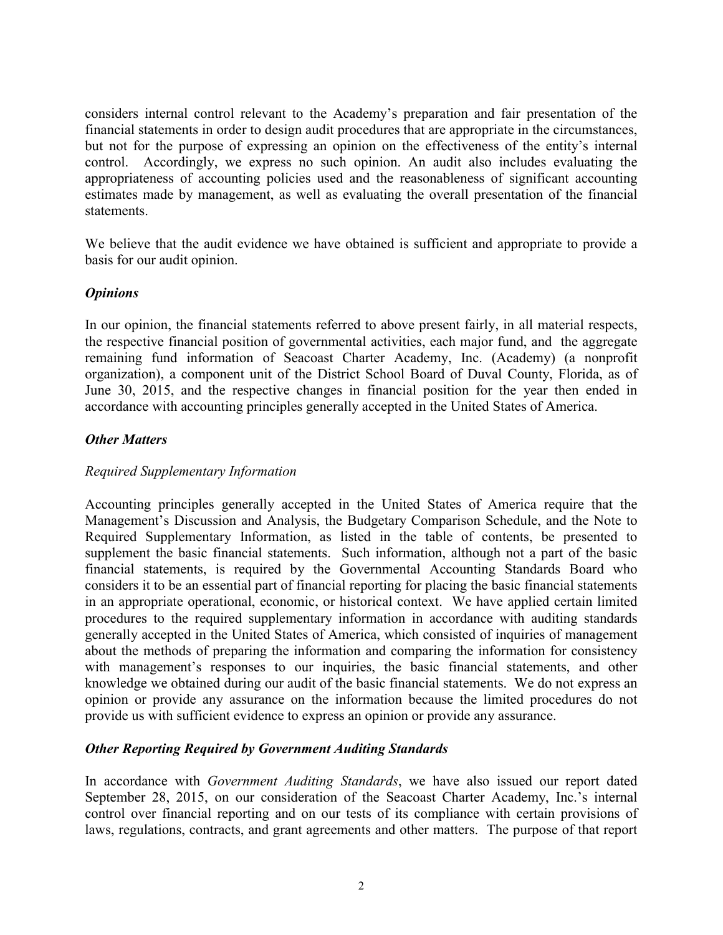considers internal control relevant to the Academy's preparation and fair presentation of the financial statements in order to design audit procedures that are appropriate in the circumstances, but not for the purpose of expressing an opinion on the effectiveness of the entity's internal control. Accordingly, we express no such opinion. An audit also includes evaluating the appropriateness of accounting policies used and the reasonableness of significant accounting estimates made by management, as well as evaluating the overall presentation of the financial statements.

We believe that the audit evidence we have obtained is sufficient and appropriate to provide a basis for our audit opinion.

# *Opinions*

In our opinion, the financial statements referred to above present fairly, in all material respects, the respective financial position of governmental activities, each major fund, and the aggregate remaining fund information of Seacoast Charter Academy, Inc. (Academy) (a nonprofit organization), a component unit of the District School Board of Duval County, Florida, as of June 30, 2015, and the respective changes in financial position for the year then ended in accordance with accounting principles generally accepted in the United States of America.

## *Other Matters*

## *Required Supplementary Information*

Accounting principles generally accepted in the United States of America require that the Management's Discussion and Analysis, the Budgetary Comparison Schedule, and the Note to Required Supplementary Information, as listed in the table of contents, be presented to supplement the basic financial statements. Such information, although not a part of the basic financial statements, is required by the Governmental Accounting Standards Board who considers it to be an essential part of financial reporting for placing the basic financial statements in an appropriate operational, economic, or historical context. We have applied certain limited procedures to the required supplementary information in accordance with auditing standards generally accepted in the United States of America, which consisted of inquiries of management about the methods of preparing the information and comparing the information for consistency with management's responses to our inquiries, the basic financial statements, and other knowledge we obtained during our audit of the basic financial statements. We do not express an opinion or provide any assurance on the information because the limited procedures do not provide us with sufficient evidence to express an opinion or provide any assurance.

## *Other Reporting Required by Government Auditing Standards*

In accordance with *Government Auditing Standards*, we have also issued our report dated September 28, 2015, on our consideration of the Seacoast Charter Academy, Inc.'s internal control over financial reporting and on our tests of its compliance with certain provisions of laws, regulations, contracts, and grant agreements and other matters. The purpose of that report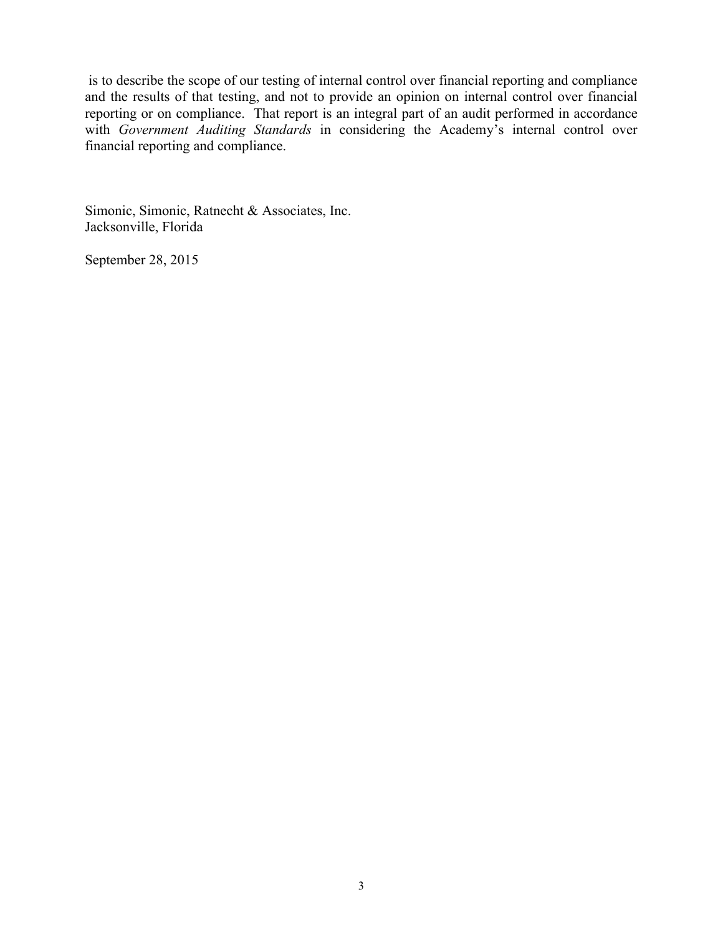is to describe the scope of our testing of internal control over financial reporting and compliance and the results of that testing, and not to provide an opinion on internal control over financial reporting or on compliance. That report is an integral part of an audit performed in accordance with *Government Auditing Standards* in considering the Academy's internal control over financial reporting and compliance.

Simonic, Simonic, Ratnecht & Associates, Inc. Jacksonville, Florida

September 28, 2015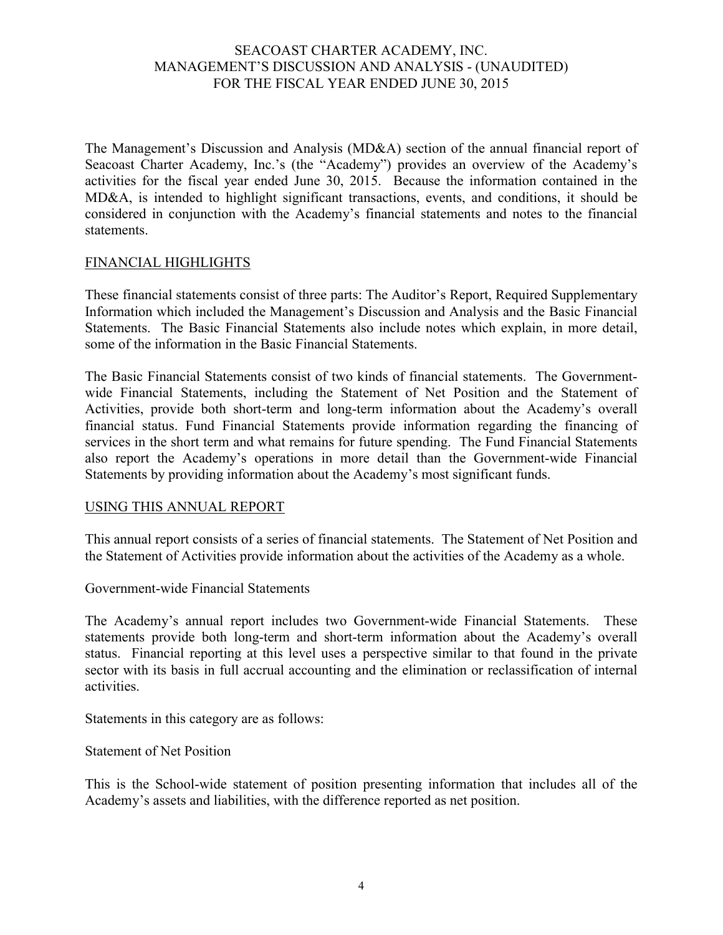The Management's Discussion and Analysis (MD&A) section of the annual financial report of Seacoast Charter Academy, Inc.'s (the "Academy") provides an overview of the Academy's activities for the fiscal year ended June 30, 2015. Because the information contained in the MD&A, is intended to highlight significant transactions, events, and conditions, it should be considered in conjunction with the Academy's financial statements and notes to the financial statements.

## FINANCIAL HIGHLIGHTS

These financial statements consist of three parts: The Auditor's Report, Required Supplementary Information which included the Management's Discussion and Analysis and the Basic Financial Statements. The Basic Financial Statements also include notes which explain, in more detail, some of the information in the Basic Financial Statements.

The Basic Financial Statements consist of two kinds of financial statements. The Governmentwide Financial Statements, including the Statement of Net Position and the Statement of Activities, provide both short-term and long-term information about the Academy's overall financial status. Fund Financial Statements provide information regarding the financing of services in the short term and what remains for future spending. The Fund Financial Statements also report the Academy's operations in more detail than the Government-wide Financial Statements by providing information about the Academy's most significant funds.

## USING THIS ANNUAL REPORT

This annual report consists of a series of financial statements. The Statement of Net Position and the Statement of Activities provide information about the activities of the Academy as a whole.

Government-wide Financial Statements

The Academy's annual report includes two Government-wide Financial Statements. These statements provide both long-term and short-term information about the Academy's overall status. Financial reporting at this level uses a perspective similar to that found in the private sector with its basis in full accrual accounting and the elimination or reclassification of internal activities.

Statements in this category are as follows:

Statement of Net Position

This is the School-wide statement of position presenting information that includes all of the Academy's assets and liabilities, with the difference reported as net position.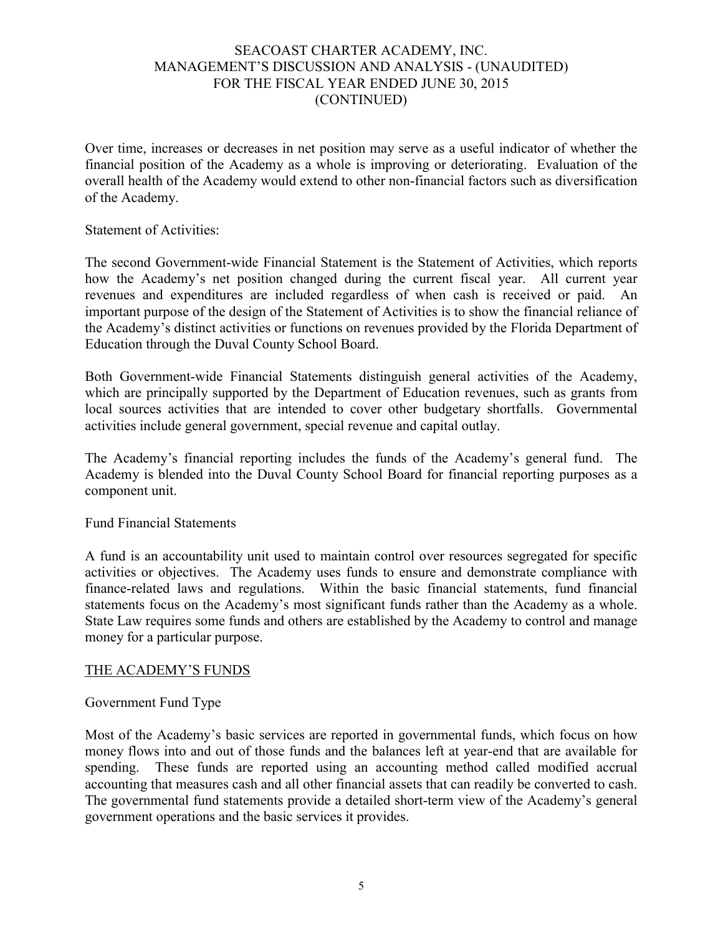Over time, increases or decreases in net position may serve as a useful indicator of whether the financial position of the Academy as a whole is improving or deteriorating. Evaluation of the overall health of the Academy would extend to other non-financial factors such as diversification of the Academy.

#### Statement of Activities:

The second Government-wide Financial Statement is the Statement of Activities, which reports how the Academy's net position changed during the current fiscal year. All current year revenues and expenditures are included regardless of when cash is received or paid. An important purpose of the design of the Statement of Activities is to show the financial reliance of the Academy's distinct activities or functions on revenues provided by the Florida Department of Education through the Duval County School Board.

Both Government-wide Financial Statements distinguish general activities of the Academy, which are principally supported by the Department of Education revenues, such as grants from local sources activities that are intended to cover other budgetary shortfalls. Governmental activities include general government, special revenue and capital outlay.

The Academy's financial reporting includes the funds of the Academy's general fund. The Academy is blended into the Duval County School Board for financial reporting purposes as a component unit.

## Fund Financial Statements

A fund is an accountability unit used to maintain control over resources segregated for specific activities or objectives. The Academy uses funds to ensure and demonstrate compliance with finance-related laws and regulations. Within the basic financial statements, fund financial statements focus on the Academy's most significant funds rather than the Academy as a whole. State Law requires some funds and others are established by the Academy to control and manage money for a particular purpose.

## THE ACADEMY'S FUNDS

## Government Fund Type

Most of the Academy's basic services are reported in governmental funds, which focus on how money flows into and out of those funds and the balances left at year-end that are available for spending. These funds are reported using an accounting method called modified accrual accounting that measures cash and all other financial assets that can readily be converted to cash. The governmental fund statements provide a detailed short-term view of the Academy's general government operations and the basic services it provides.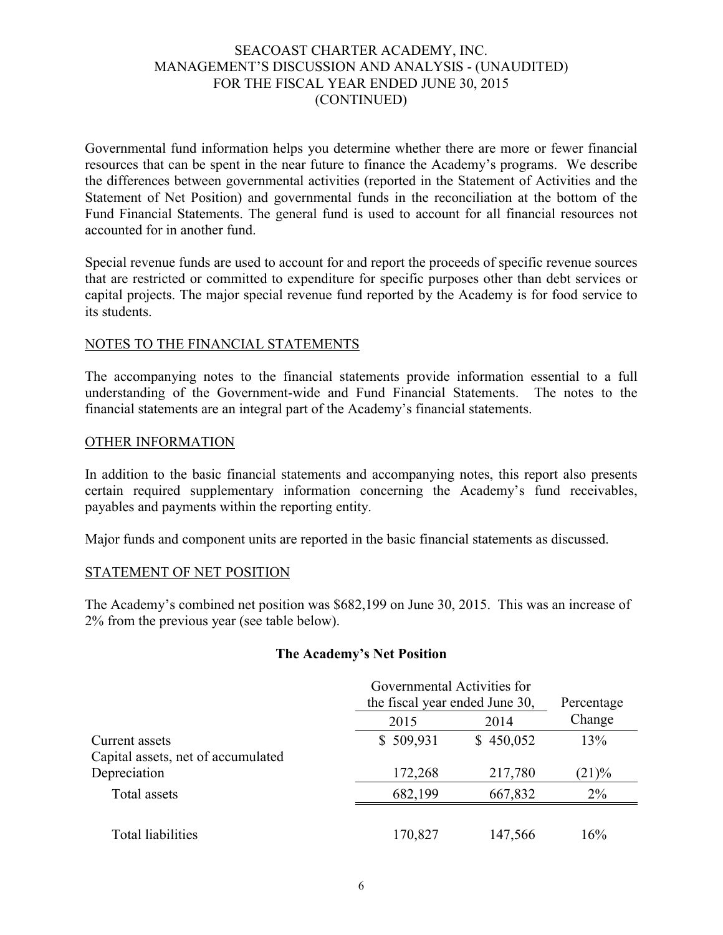Governmental fund information helps you determine whether there are more or fewer financial resources that can be spent in the near future to finance the Academy's programs. We describe the differences between governmental activities (reported in the Statement of Activities and the Statement of Net Position) and governmental funds in the reconciliation at the bottom of the Fund Financial Statements. The general fund is used to account for all financial resources not accounted for in another fund.

Special revenue funds are used to account for and report the proceeds of specific revenue sources that are restricted or committed to expenditure for specific purposes other than debt services or capital projects. The major special revenue fund reported by the Academy is for food service to its students.

## NOTES TO THE FINANCIAL STATEMENTS

The accompanying notes to the financial statements provide information essential to a full understanding of the Government-wide and Fund Financial Statements. The notes to the financial statements are an integral part of the Academy's financial statements.

#### OTHER INFORMATION

In addition to the basic financial statements and accompanying notes, this report also presents certain required supplementary information concerning the Academy's fund receivables, payables and payments within the reporting entity.

Major funds and component units are reported in the basic financial statements as discussed.

#### STATEMENT OF NET POSITION

The Academy's combined net position was \$682,199 on June 30, 2015. This was an increase of 2% from the previous year (see table below).

#### **The Academy's Net Position**

|                                                      | Governmental Activities for |                                |        |  |  |  |
|------------------------------------------------------|-----------------------------|--------------------------------|--------|--|--|--|
|                                                      |                             | the fiscal year ended June 30, |        |  |  |  |
|                                                      | 2015                        | 2014                           | Change |  |  |  |
| Current assets<br>Capital assets, net of accumulated | \$509,931                   | \$450,052                      | 13%    |  |  |  |
| Depreciation                                         | 172,268                     | 217,780                        | (21)%  |  |  |  |
| Total assets                                         | 682,199                     | 667,832                        | $2\%$  |  |  |  |
|                                                      |                             |                                |        |  |  |  |
| Total liabilities                                    | 170,827                     | 147,566                        | 16%    |  |  |  |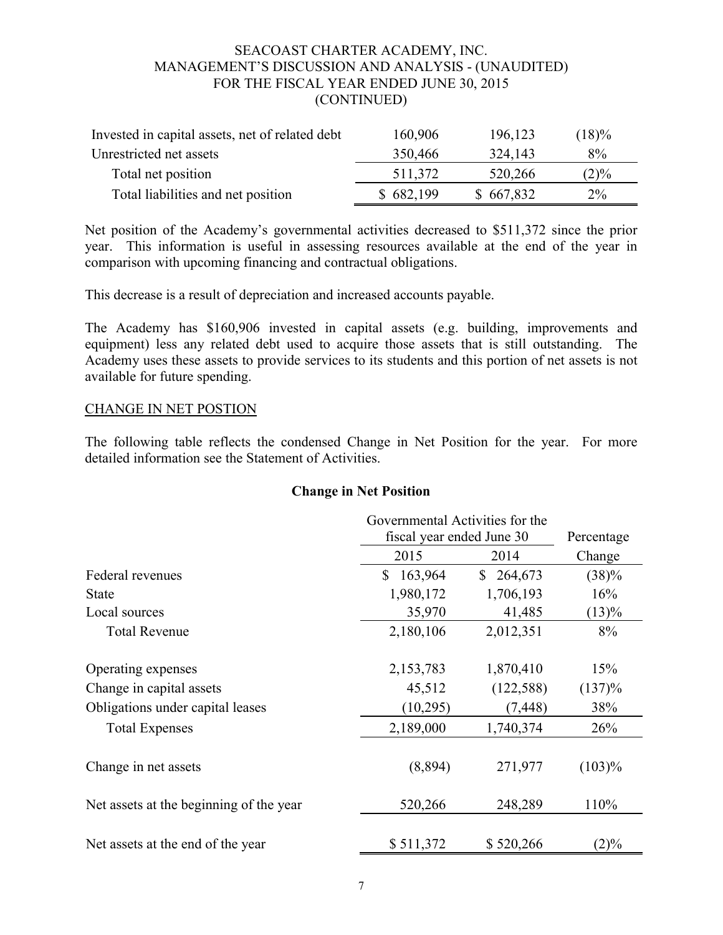| Invested in capital assets, net of related debt | 160,906   | 196,123   | $(18)\%$ |
|-------------------------------------------------|-----------|-----------|----------|
| Unrestricted net assets                         | 350,466   | 324,143   | $8\%$    |
| Total net position                              | 511,372   | 520,266   | $(2)\%$  |
| Total liabilities and net position              | \$682,199 | \$667,832 | $2\%$    |

Net position of the Academy's governmental activities decreased to \$511,372 since the prior year. This information is useful in assessing resources available at the end of the year in comparison with upcoming financing and contractual obligations.

This decrease is a result of depreciation and increased accounts payable.

The Academy has \$160,906 invested in capital assets (e.g. building, improvements and equipment) less any related debt used to acquire those assets that is still outstanding. The Academy uses these assets to provide services to its students and this portion of net assets is not available for future spending.

#### CHANGE IN NET POSTION

The following table reflects the condensed Change in Net Position for the year. For more detailed information see the Statement of Activities.

#### **Change in Net Position**

|                                         |               | Governmental Activities for the<br>fiscal year ended June 30 |           |  |  |  |
|-----------------------------------------|---------------|--------------------------------------------------------------|-----------|--|--|--|
|                                         | 2015          | 2014                                                         | Change    |  |  |  |
| Federal revenues                        | \$<br>163,964 | 264,673<br>\$                                                | (38)%     |  |  |  |
| <b>State</b>                            | 1,980,172     | 1,706,193                                                    | 16%       |  |  |  |
| Local sources                           | 35,970        | 41,485                                                       | (13)%     |  |  |  |
| <b>Total Revenue</b>                    | 2,180,106     | 2,012,351                                                    | 8%        |  |  |  |
| Operating expenses                      | 2,153,783     | 1,870,410                                                    | 15%       |  |  |  |
| Change in capital assets                | 45,512        | (122, 588)                                                   | (137)%    |  |  |  |
| Obligations under capital leases        | (10, 295)     | (7, 448)                                                     | 38%       |  |  |  |
| <b>Total Expenses</b>                   | 2,189,000     | 1,740,374                                                    | 26%       |  |  |  |
| Change in net assets                    | (8,894)       | 271,977                                                      | $(103)\%$ |  |  |  |
| Net assets at the beginning of the year | 520,266       | 248,289                                                      | 110%      |  |  |  |
| Net assets at the end of the year       | \$511,372     | \$520,266                                                    | $(2)\%$   |  |  |  |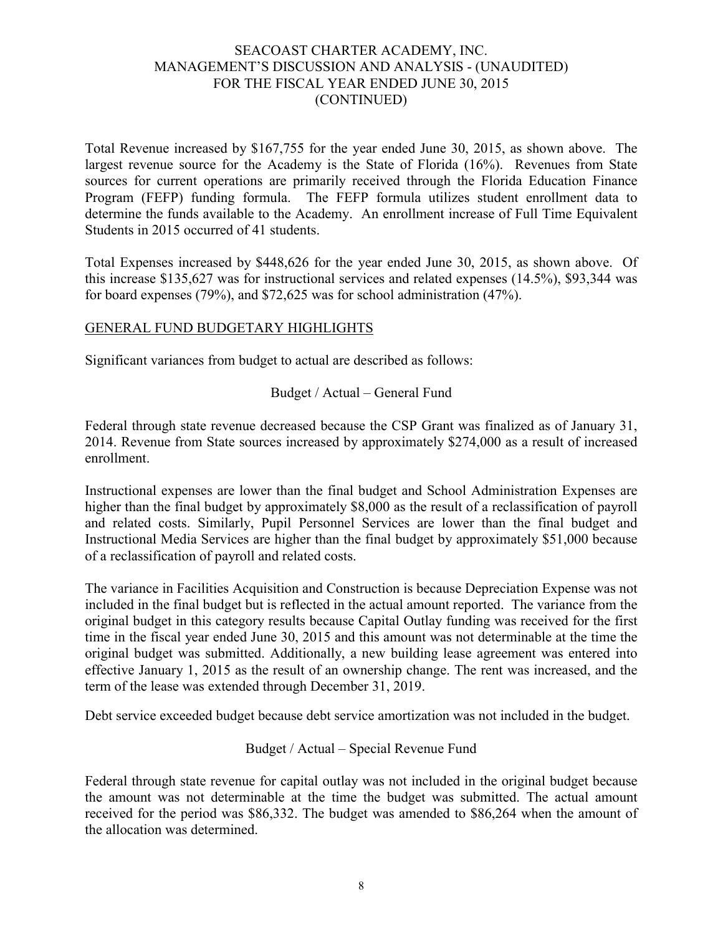Total Revenue increased by \$167,755 for the year ended June 30, 2015, as shown above. The largest revenue source for the Academy is the State of Florida (16%). Revenues from State sources for current operations are primarily received through the Florida Education Finance Program (FEFP) funding formula. The FEFP formula utilizes student enrollment data to determine the funds available to the Academy. An enrollment increase of Full Time Equivalent Students in 2015 occurred of 41 students.

Total Expenses increased by \$448,626 for the year ended June 30, 2015, as shown above. Of this increase \$135,627 was for instructional services and related expenses (14.5%), \$93,344 was for board expenses (79%), and \$72,625 was for school administration (47%).

## GENERAL FUND BUDGETARY HIGHLIGHTS

Significant variances from budget to actual are described as follows:

## Budget / Actual – General Fund

Federal through state revenue decreased because the CSP Grant was finalized as of January 31, 2014. Revenue from State sources increased by approximately \$274,000 as a result of increased enrollment.

Instructional expenses are lower than the final budget and School Administration Expenses are higher than the final budget by approximately \$8,000 as the result of a reclassification of payroll and related costs. Similarly, Pupil Personnel Services are lower than the final budget and Instructional Media Services are higher than the final budget by approximately \$51,000 because of a reclassification of payroll and related costs.

The variance in Facilities Acquisition and Construction is because Depreciation Expense was not included in the final budget but is reflected in the actual amount reported. The variance from the original budget in this category results because Capital Outlay funding was received for the first time in the fiscal year ended June 30, 2015 and this amount was not determinable at the time the original budget was submitted. Additionally, a new building lease agreement was entered into effective January 1, 2015 as the result of an ownership change. The rent was increased, and the term of the lease was extended through December 31, 2019.

Debt service exceeded budget because debt service amortization was not included in the budget.

# Budget / Actual – Special Revenue Fund

Federal through state revenue for capital outlay was not included in the original budget because the amount was not determinable at the time the budget was submitted. The actual amount received for the period was \$86,332. The budget was amended to \$86,264 when the amount of the allocation was determined.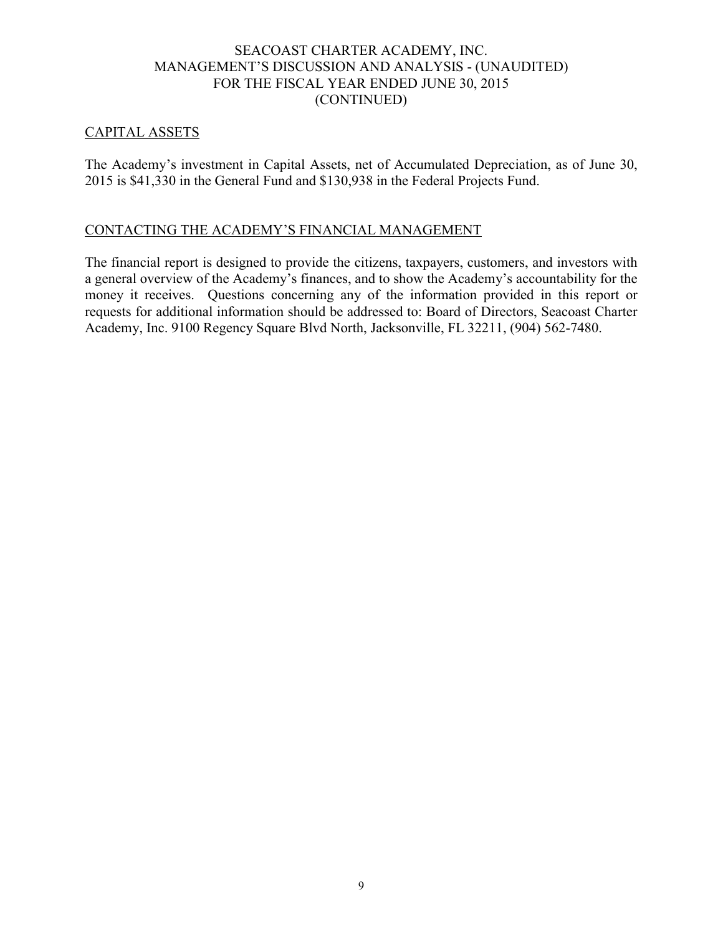## CAPITAL ASSETS

The Academy's investment in Capital Assets, net of Accumulated Depreciation, as of June 30, 2015 is \$41,330 in the General Fund and \$130,938 in the Federal Projects Fund.

## CONTACTING THE ACADEMY'S FINANCIAL MANAGEMENT

The financial report is designed to provide the citizens, taxpayers, customers, and investors with a general overview of the Academy's finances, and to show the Academy's accountability for the money it receives. Questions concerning any of the information provided in this report or requests for additional information should be addressed to: Board of Directors, Seacoast Charter Academy, Inc. 9100 Regency Square Blvd North, Jacksonville, FL 32211, (904) 562-7480.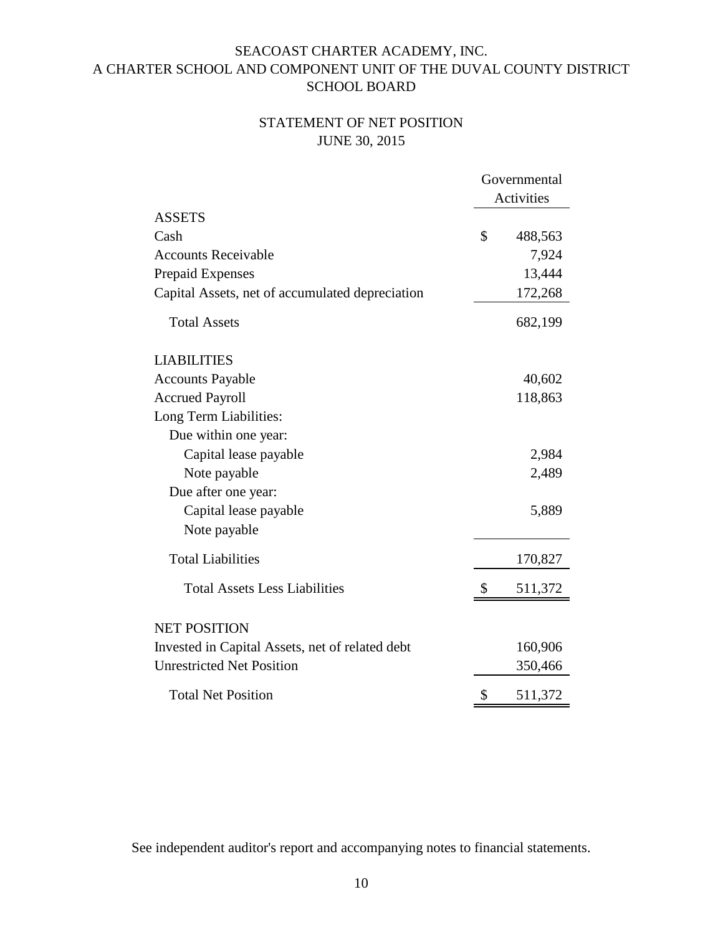# STATEMENT OF NET POSITION JUNE 30, 2015

|                                                 |    | Governmental |
|-------------------------------------------------|----|--------------|
|                                                 |    | Activities   |
| <b>ASSETS</b>                                   |    |              |
| Cash                                            | \$ | 488,563      |
| <b>Accounts Receivable</b>                      |    | 7,924        |
| <b>Prepaid Expenses</b>                         |    | 13,444       |
| Capital Assets, net of accumulated depreciation |    | 172,268      |
| <b>Total Assets</b>                             |    | 682,199      |
| <b>LIABILITIES</b>                              |    |              |
| <b>Accounts Payable</b>                         |    | 40,602       |
| <b>Accrued Payroll</b>                          |    | 118,863      |
| Long Term Liabilities:                          |    |              |
| Due within one year:                            |    |              |
| Capital lease payable                           |    | 2,984        |
| Note payable                                    |    | 2,489        |
| Due after one year:                             |    |              |
| Capital lease payable                           |    | 5,889        |
| Note payable                                    |    |              |
| <b>Total Liabilities</b>                        |    | 170,827      |
| <b>Total Assets Less Liabilities</b>            | \$ | 511,372      |
| <b>NET POSITION</b>                             |    |              |
| Invested in Capital Assets, net of related debt |    | 160,906      |
| <b>Unrestricted Net Position</b>                |    | 350,466      |
| <b>Total Net Position</b>                       | \$ | 511,372      |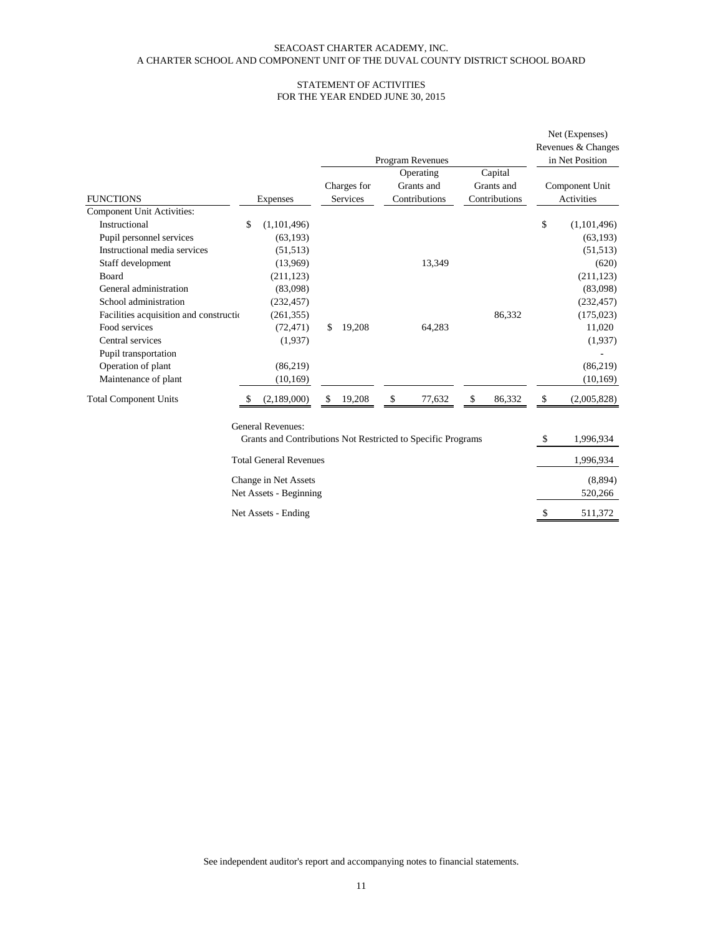#### STATEMENT OF ACTIVITIES FOR THE YEAR ENDED JUNE 30, 2015

|                                         |    |                                                                                          |                         | Program Revenues                         |                                        | Net (Expenses)<br>Revenues & Changes<br>in Net Position |
|-----------------------------------------|----|------------------------------------------------------------------------------------------|-------------------------|------------------------------------------|----------------------------------------|---------------------------------------------------------|
| <b>FUNCTIONS</b>                        |    | Expenses                                                                                 | Charges for<br>Services | Operating<br>Grants and<br>Contributions | Capital<br>Grants and<br>Contributions | Component Unit<br>Activities                            |
| <b>Component Unit Activities:</b>       |    |                                                                                          |                         |                                          |                                        |                                                         |
| Instructional                           | \$ | (1,101,496)                                                                              |                         |                                          |                                        | \$<br>(1,101,496)                                       |
| Pupil personnel services                |    | (63, 193)                                                                                |                         |                                          |                                        | (63, 193)                                               |
| Instructional media services            |    | (51, 513)                                                                                |                         |                                          |                                        | (51, 513)                                               |
| Staff development                       |    | (13,969)                                                                                 |                         | 13,349                                   |                                        | (620)                                                   |
| Board                                   |    | (211, 123)                                                                               |                         |                                          |                                        | (211, 123)                                              |
| General administration                  |    | (83,098)                                                                                 |                         |                                          |                                        | (83,098)                                                |
| School administration                   |    | (232, 457)                                                                               |                         |                                          |                                        | (232, 457)                                              |
| Facilities acquisition and construction |    | (261, 355)                                                                               |                         |                                          | 86,332                                 | (175, 023)                                              |
| Food services                           |    | (72, 471)                                                                                | \$<br>19,208            | 64,283                                   |                                        | 11,020                                                  |
| Central services                        |    | (1,937)                                                                                  |                         |                                          |                                        | (1,937)                                                 |
| Pupil transportation                    |    |                                                                                          |                         |                                          |                                        |                                                         |
| Operation of plant                      |    | (86,219)                                                                                 |                         |                                          |                                        | (86,219)                                                |
| Maintenance of plant                    |    | (10, 169)                                                                                |                         |                                          |                                        | (10, 169)                                               |
| <b>Total Component Units</b>            | S  | (2,189,000)                                                                              | \$<br>19,208            | \$<br>77,632                             | \$<br>86,332                           | \$<br>(2,005,828)                                       |
|                                         |    | <b>General Revenues:</b><br>Grants and Contributions Not Restricted to Specific Programs |                         |                                          |                                        | \$<br>1,996,934                                         |
|                                         |    | <b>Total General Revenues</b>                                                            |                         |                                          |                                        | 1,996,934                                               |
|                                         |    | Change in Net Assets<br>Net Assets - Beginning                                           |                         |                                          |                                        | (8,894)<br>520,266                                      |
|                                         |    | Net Assets - Ending                                                                      |                         |                                          |                                        | \$<br>511,372                                           |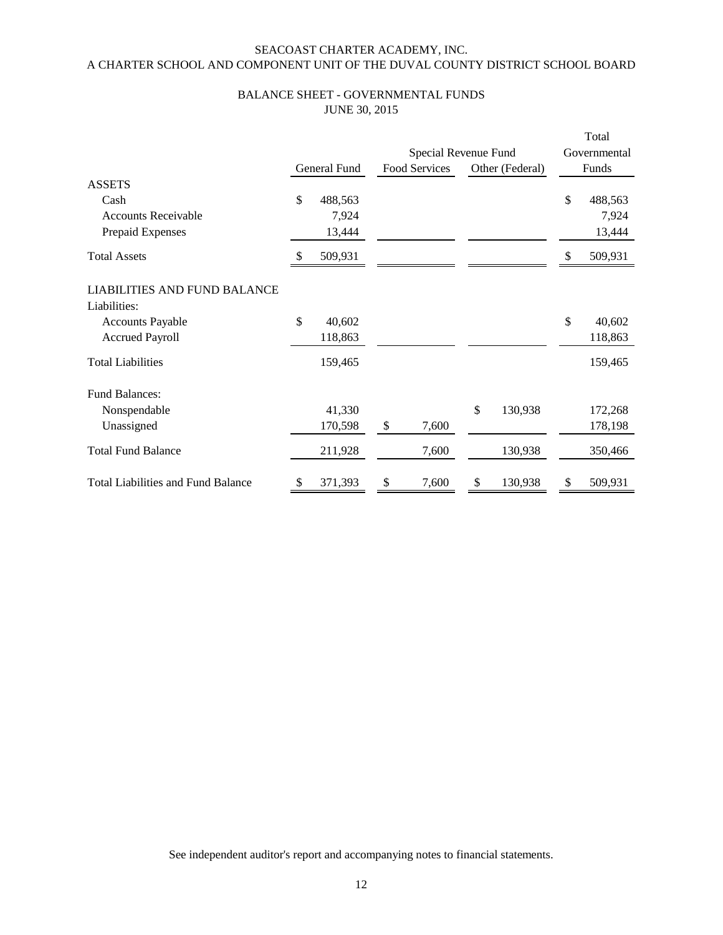#### BALANCE SHEET - GOVERNMENTAL FUNDS JUNE 30, 2015

|                                                     |               |              |    |                      |    |                 |    | Total        |  |
|-----------------------------------------------------|---------------|--------------|----|----------------------|----|-----------------|----|--------------|--|
|                                                     |               |              |    | Special Revenue Fund |    |                 |    | Governmental |  |
|                                                     |               | General Fund |    | Food Services        |    | Other (Federal) |    | Funds        |  |
| <b>ASSETS</b>                                       |               |              |    |                      |    |                 |    |              |  |
| Cash                                                | \$            | 488,563      |    |                      |    |                 | \$ | 488,563      |  |
| <b>Accounts Receivable</b>                          |               | 7,924        |    |                      |    |                 |    | 7,924        |  |
| Prepaid Expenses                                    |               | 13,444       |    |                      |    |                 |    | 13,444       |  |
| <b>Total Assets</b>                                 | <sup>\$</sup> | 509,931      |    |                      |    |                 | \$ | 509,931      |  |
| <b>LIABILITIES AND FUND BALANCE</b><br>Liabilities: |               |              |    |                      |    |                 |    |              |  |
| <b>Accounts Payable</b>                             | \$            | 40,602       |    |                      |    |                 | \$ | 40,602       |  |
| <b>Accrued Payroll</b>                              |               | 118,863      |    |                      |    |                 |    | 118,863      |  |
| <b>Total Liabilities</b>                            |               | 159,465      |    |                      |    |                 |    | 159,465      |  |
| <b>Fund Balances:</b>                               |               |              |    |                      |    |                 |    |              |  |
| Nonspendable                                        |               | 41,330       |    |                      | \$ | 130,938         |    | 172,268      |  |
| Unassigned                                          |               | 170,598      | \$ | 7,600                |    |                 |    | 178,198      |  |
| <b>Total Fund Balance</b>                           |               | 211,928      |    | 7,600                |    | 130,938         |    | 350,466      |  |
| <b>Total Liabilities and Fund Balance</b>           | \$            | 371,393      | \$ | 7,600                | \$ | 130,938         | \$ | 509,931      |  |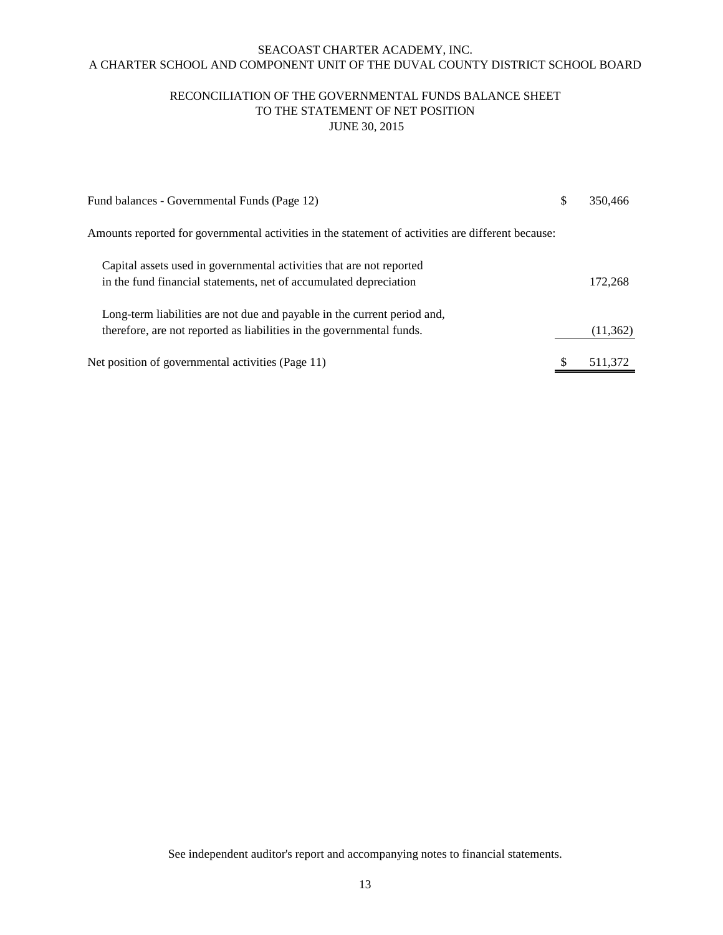#### RECONCILIATION OF THE GOVERNMENTAL FUNDS BALANCE SHEET TO THE STATEMENT OF NET POSITION JUNE 30, 2015

| Fund balances - Governmental Funds (Page 12)                                                       | 350,466   |
|----------------------------------------------------------------------------------------------------|-----------|
| Amounts reported for governmental activities in the statement of activities are different because: |           |
| Capital assets used in governmental activities that are not reported                               |           |
| in the fund financial statements, net of accumulated depreciation                                  | 172,268   |
| Long-term liabilities are not due and payable in the current period and,                           |           |
| therefore, are not reported as liabilities in the governmental funds.                              | (11, 362) |
| Net position of governmental activities (Page 11)                                                  | 511,372   |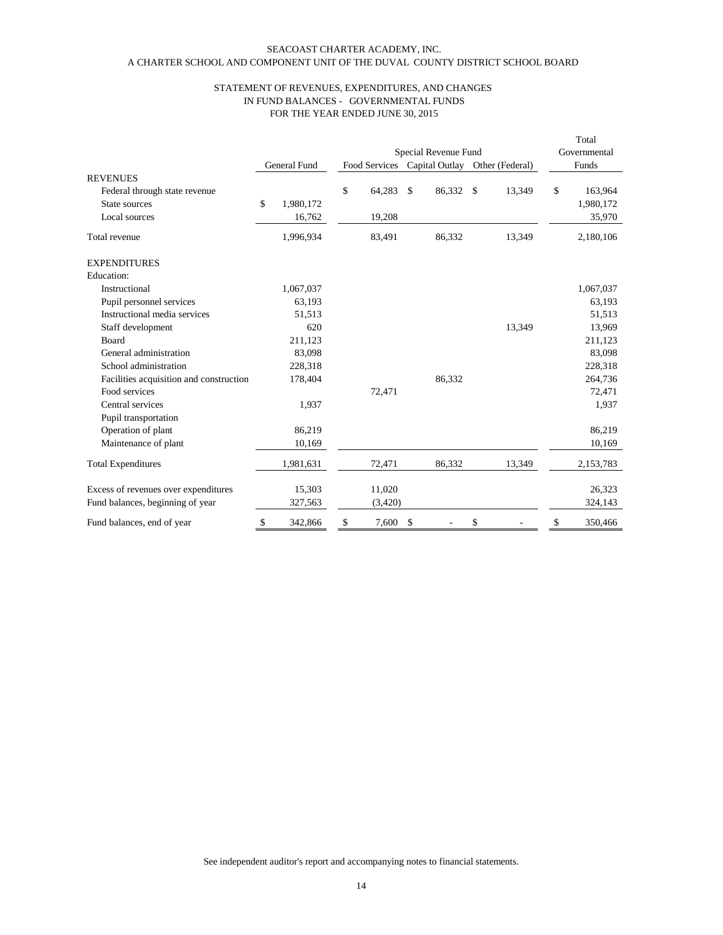#### A CHARTER SCHOOL AND COMPONENT UNIT OF THE DUVAL COUNTY DISTRICT SCHOOL BOARD SEACOAST CHARTER ACADEMY, INC.

#### FOR THE YEAR ENDED JUNE 30, 2015 STATEMENT OF REVENUES, EXPENDITURES, AND CHANGES IN FUND BALANCES - GOVERNMENTAL FUNDS

|                                         |                     |               |               |                      |                 | Total         |
|-----------------------------------------|---------------------|---------------|---------------|----------------------|-----------------|---------------|
|                                         |                     |               |               | Special Revenue Fund |                 | Governmental  |
|                                         | <b>General Fund</b> | Food Services |               | Capital Outlay       | Other (Federal) | Funds         |
| <b>REVENUES</b>                         |                     |               |               |                      |                 |               |
| Federal through state revenue           |                     | \$<br>64,283  | $\mathcal{S}$ | 86,332 \$            | 13,349          | \$<br>163,964 |
| State sources                           | \$<br>1,980,172     |               |               |                      |                 | 1,980,172     |
| Local sources                           | 16,762              | 19,208        |               |                      |                 | 35,970        |
| Total revenue                           | 1,996,934           | 83,491        |               | 86,332               | 13,349          | 2,180,106     |
| <b>EXPENDITURES</b>                     |                     |               |               |                      |                 |               |
| Education:                              |                     |               |               |                      |                 |               |
| Instructional                           | 1,067,037           |               |               |                      |                 | 1,067,037     |
| Pupil personnel services                | 63,193              |               |               |                      |                 | 63,193        |
| Instructional media services            | 51,513              |               |               |                      |                 | 51,513        |
| Staff development                       | 620                 |               |               |                      | 13,349          | 13,969        |
| <b>Board</b>                            | 211,123             |               |               |                      |                 | 211,123       |
| General administration                  | 83,098              |               |               |                      |                 | 83,098        |
| School administration                   | 228,318             |               |               |                      |                 | 228,318       |
| Facilities acquisition and construction | 178,404             |               |               | 86,332               |                 | 264,736       |
| Food services                           |                     | 72,471        |               |                      |                 | 72,471        |
| Central services                        | 1,937               |               |               |                      |                 | 1,937         |
| Pupil transportation                    |                     |               |               |                      |                 |               |
| Operation of plant                      | 86,219              |               |               |                      |                 | 86,219        |
| Maintenance of plant                    | 10,169              |               |               |                      |                 | 10,169        |
| <b>Total Expenditures</b>               | 1,981,631           | 72,471        |               | 86,332               | 13,349          | 2,153,783     |
| Excess of revenues over expenditures    | 15,303              | 11,020        |               |                      |                 | 26,323        |
| Fund balances, beginning of year        | 327,563             | (3,420)       |               |                      |                 | 324,143       |
| Fund balances, end of year              | \$<br>342,866       | \$<br>7,600   | $\mathcal{S}$ |                      | \$              | \$<br>350,466 |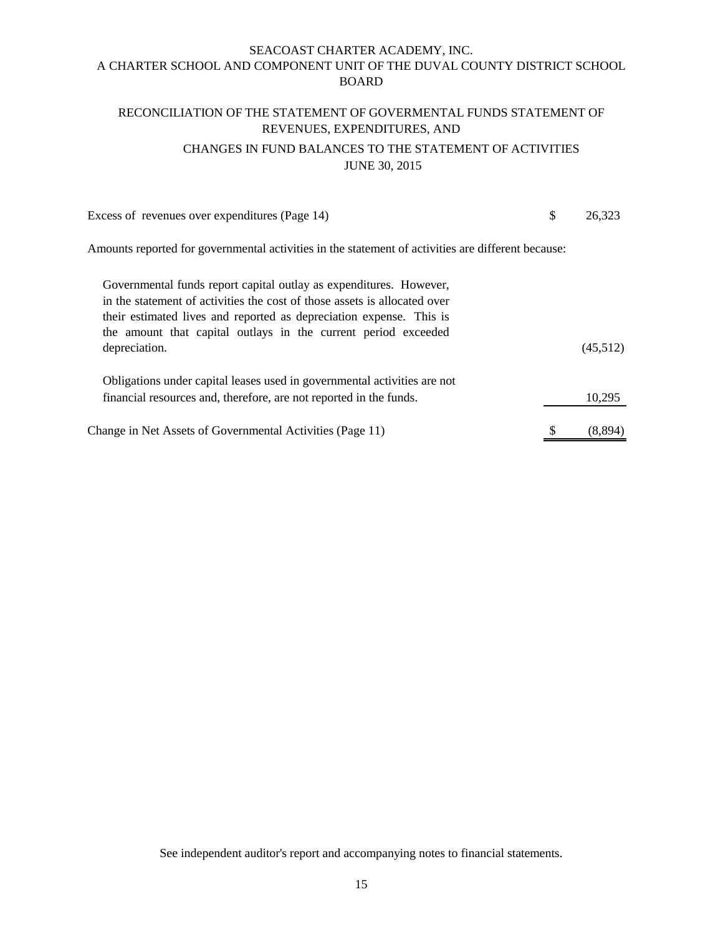# RECONCILIATION OF THE STATEMENT OF GOVERMENTAL FUNDS STATEMENT OF REVENUES, EXPENDITURES, AND CHANGES IN FUND BALANCES TO THE STATEMENT OF ACTIVITIES JUNE 30, 2015

| Excess of revenues over expenditures (Page 14)                                                                                                                                                                                                                                                            | \$<br>26,323 |
|-----------------------------------------------------------------------------------------------------------------------------------------------------------------------------------------------------------------------------------------------------------------------------------------------------------|--------------|
| Amounts reported for governmental activities in the statement of activities are different because:                                                                                                                                                                                                        |              |
| Governmental funds report capital outlay as expenditures. However,<br>in the statement of activities the cost of those assets is allocated over<br>their estimated lives and reported as depreciation expense. This is<br>the amount that capital outlays in the current period exceeded<br>depreciation. | (45,512)     |
| Obligations under capital leases used in governmental activities are not<br>financial resources and, therefore, are not reported in the funds.                                                                                                                                                            | 10,295       |
| Change in Net Assets of Governmental Activities (Page 11)                                                                                                                                                                                                                                                 | (8,894)      |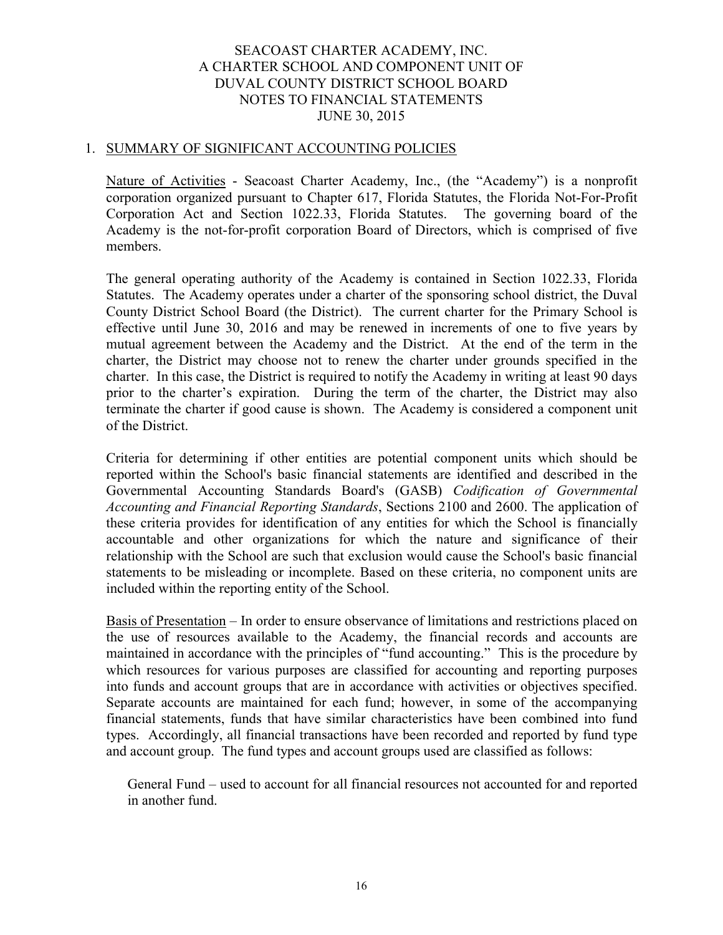#### 1. SUMMARY OF SIGNIFICANT ACCOUNTING POLICIES

Nature of Activities - Seacoast Charter Academy, Inc., (the "Academy") is a nonprofit corporation organized pursuant to Chapter 617, Florida Statutes, the Florida Not-For-Profit Corporation Act and Section 1022.33, Florida Statutes. The governing board of the Academy is the not-for-profit corporation Board of Directors, which is comprised of five members.

The general operating authority of the Academy is contained in Section 1022.33, Florida Statutes. The Academy operates under a charter of the sponsoring school district, the Duval County District School Board (the District). The current charter for the Primary School is effective until June 30, 2016 and may be renewed in increments of one to five years by mutual agreement between the Academy and the District. At the end of the term in the charter, the District may choose not to renew the charter under grounds specified in the charter. In this case, the District is required to notify the Academy in writing at least 90 days prior to the charter's expiration. During the term of the charter, the District may also terminate the charter if good cause is shown. The Academy is considered a component unit of the District.

Criteria for determining if other entities are potential component units which should be reported within the School's basic financial statements are identified and described in the Governmental Accounting Standards Board's (GASB) *Codification of Governmental Accounting and Financial Reporting Standards*, Sections 2100 and 2600. The application of these criteria provides for identification of any entities for which the School is financially accountable and other organizations for which the nature and significance of their relationship with the School are such that exclusion would cause the School's basic financial statements to be misleading or incomplete. Based on these criteria, no component units are included within the reporting entity of the School.

Basis of Presentation – In order to ensure observance of limitations and restrictions placed on the use of resources available to the Academy, the financial records and accounts are maintained in accordance with the principles of "fund accounting." This is the procedure by which resources for various purposes are classified for accounting and reporting purposes into funds and account groups that are in accordance with activities or objectives specified. Separate accounts are maintained for each fund; however, in some of the accompanying financial statements, funds that have similar characteristics have been combined into fund types. Accordingly, all financial transactions have been recorded and reported by fund type and account group. The fund types and account groups used are classified as follows:

General Fund – used to account for all financial resources not accounted for and reported in another fund.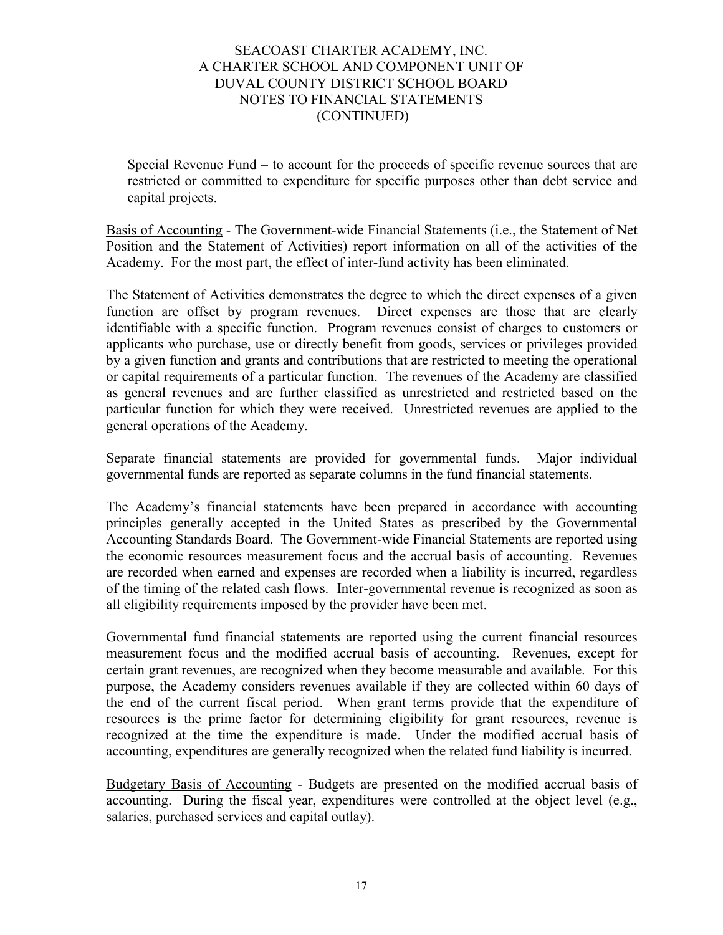Special Revenue Fund – to account for the proceeds of specific revenue sources that are restricted or committed to expenditure for specific purposes other than debt service and capital projects.

Basis of Accounting - The Government-wide Financial Statements (i.e., the Statement of Net Position and the Statement of Activities) report information on all of the activities of the Academy. For the most part, the effect of inter-fund activity has been eliminated.

The Statement of Activities demonstrates the degree to which the direct expenses of a given function are offset by program revenues. Direct expenses are those that are clearly identifiable with a specific function. Program revenues consist of charges to customers or applicants who purchase, use or directly benefit from goods, services or privileges provided by a given function and grants and contributions that are restricted to meeting the operational or capital requirements of a particular function. The revenues of the Academy are classified as general revenues and are further classified as unrestricted and restricted based on the particular function for which they were received. Unrestricted revenues are applied to the general operations of the Academy.

Separate financial statements are provided for governmental funds. Major individual governmental funds are reported as separate columns in the fund financial statements.

The Academy's financial statements have been prepared in accordance with accounting principles generally accepted in the United States as prescribed by the Governmental Accounting Standards Board. The Government-wide Financial Statements are reported using the economic resources measurement focus and the accrual basis of accounting. Revenues are recorded when earned and expenses are recorded when a liability is incurred, regardless of the timing of the related cash flows. Inter-governmental revenue is recognized as soon as all eligibility requirements imposed by the provider have been met.

Governmental fund financial statements are reported using the current financial resources measurement focus and the modified accrual basis of accounting. Revenues, except for certain grant revenues, are recognized when they become measurable and available. For this purpose, the Academy considers revenues available if they are collected within 60 days of the end of the current fiscal period. When grant terms provide that the expenditure of resources is the prime factor for determining eligibility for grant resources, revenue is recognized at the time the expenditure is made. Under the modified accrual basis of accounting, expenditures are generally recognized when the related fund liability is incurred.

Budgetary Basis of Accounting - Budgets are presented on the modified accrual basis of accounting. During the fiscal year, expenditures were controlled at the object level (e.g., salaries, purchased services and capital outlay).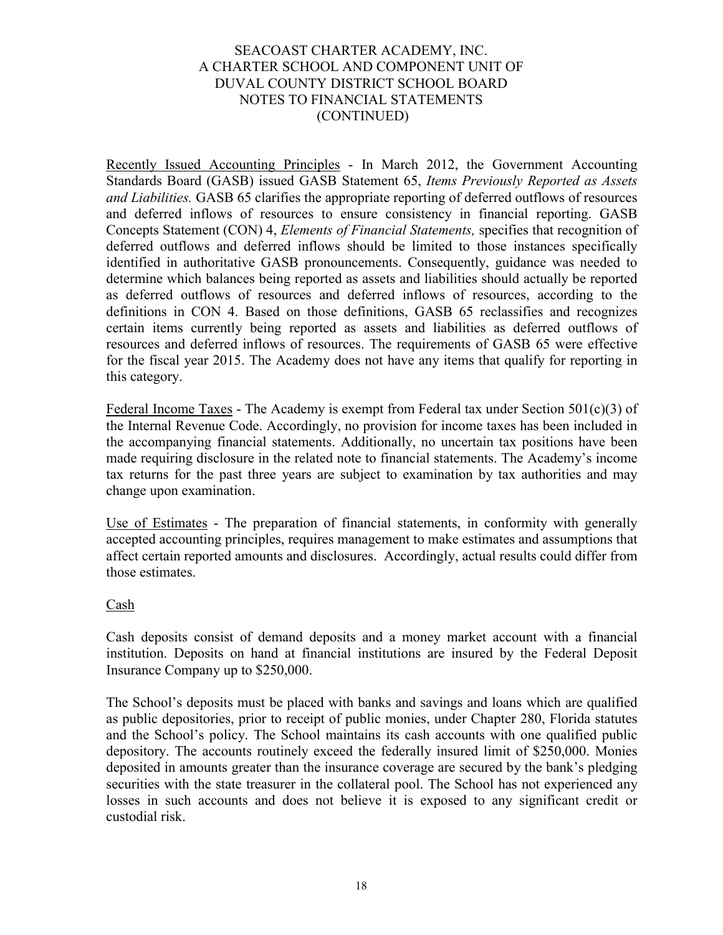Recently Issued Accounting Principles - In March 2012, the Government Accounting Standards Board (GASB) issued GASB Statement 65, *Items Previously Reported as Assets and Liabilities.* GASB 65 clarifies the appropriate reporting of deferred outflows of resources and deferred inflows of resources to ensure consistency in financial reporting. GASB Concepts Statement (CON) 4, *Elements of Financial Statements,* specifies that recognition of deferred outflows and deferred inflows should be limited to those instances specifically identified in authoritative GASB pronouncements. Consequently, guidance was needed to determine which balances being reported as assets and liabilities should actually be reported as deferred outflows of resources and deferred inflows of resources, according to the definitions in CON 4. Based on those definitions, GASB 65 reclassifies and recognizes certain items currently being reported as assets and liabilities as deferred outflows of resources and deferred inflows of resources. The requirements of GASB 65 were effective for the fiscal year 2015. The Academy does not have any items that qualify for reporting in this category.

Federal Income Taxes - The Academy is exempt from Federal tax under Section  $501(c)(3)$  of the Internal Revenue Code. Accordingly, no provision for income taxes has been included in the accompanying financial statements. Additionally, no uncertain tax positions have been made requiring disclosure in the related note to financial statements. The Academy's income tax returns for the past three years are subject to examination by tax authorities and may change upon examination.

Use of Estimates - The preparation of financial statements, in conformity with generally accepted accounting principles, requires management to make estimates and assumptions that affect certain reported amounts and disclosures. Accordingly, actual results could differ from those estimates.

# Cash

Cash deposits consist of demand deposits and a money market account with a financial institution. Deposits on hand at financial institutions are insured by the Federal Deposit Insurance Company up to \$250,000.

The School's deposits must be placed with banks and savings and loans which are qualified as public depositories, prior to receipt of public monies, under Chapter 280, Florida statutes and the School's policy. The School maintains its cash accounts with one qualified public depository. The accounts routinely exceed the federally insured limit of \$250,000. Monies deposited in amounts greater than the insurance coverage are secured by the bank's pledging securities with the state treasurer in the collateral pool. The School has not experienced any losses in such accounts and does not believe it is exposed to any significant credit or custodial risk.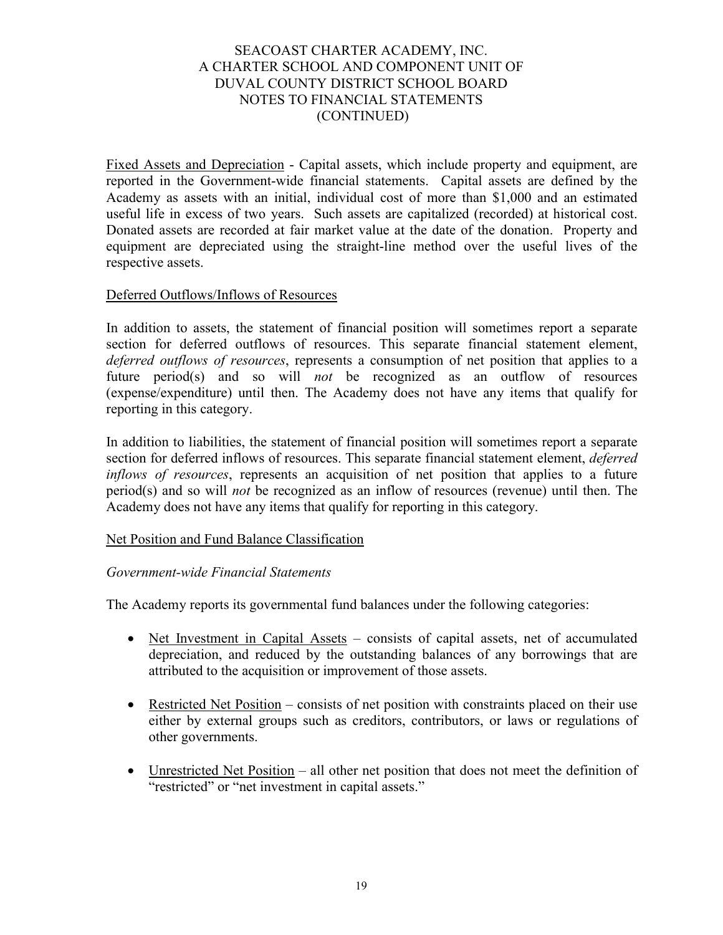Fixed Assets and Depreciation - Capital assets, which include property and equipment, are reported in the Government-wide financial statements. Capital assets are defined by the Academy as assets with an initial, individual cost of more than \$1,000 and an estimated useful life in excess of two years. Such assets are capitalized (recorded) at historical cost. Donated assets are recorded at fair market value at the date of the donation. Property and equipment are depreciated using the straight-line method over the useful lives of the respective assets.

## Deferred Outflows/Inflows of Resources

In addition to assets, the statement of financial position will sometimes report a separate section for deferred outflows of resources. This separate financial statement element, *deferred outflows of resources*, represents a consumption of net position that applies to a future period(s) and so will *not* be recognized as an outflow of resources (expense/expenditure) until then. The Academy does not have any items that qualify for reporting in this category.

In addition to liabilities, the statement of financial position will sometimes report a separate section for deferred inflows of resources. This separate financial statement element, *deferred inflows of resources*, represents an acquisition of net position that applies to a future period(s) and so will *not* be recognized as an inflow of resources (revenue) until then. The Academy does not have any items that qualify for reporting in this category.

## Net Position and Fund Balance Classification

## *Government-wide Financial Statements*

The Academy reports its governmental fund balances under the following categories:

- Net Investment in Capital Assets consists of capital assets, net of accumulated depreciation, and reduced by the outstanding balances of any borrowings that are attributed to the acquisition or improvement of those assets.
- Restricted Net Position consists of net position with constraints placed on their use either by external groups such as creditors, contributors, or laws or regulations of other governments.
- Unrestricted Net Position all other net position that does not meet the definition of "restricted" or "net investment in capital assets."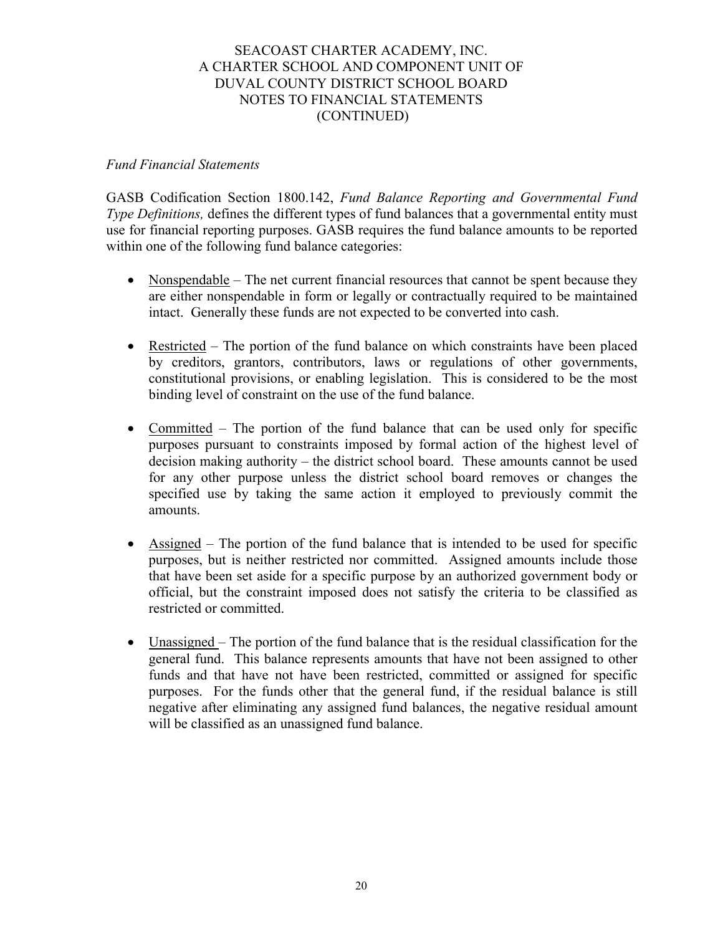## *Fund Financial Statements*

GASB Codification Section 1800.142, *Fund Balance Reporting and Governmental Fund Type Definitions,* defines the different types of fund balances that a governmental entity must use for financial reporting purposes. GASB requires the fund balance amounts to be reported within one of the following fund balance categories:

- Nonspendable The net current financial resources that cannot be spent because they are either nonspendable in form or legally or contractually required to be maintained intact. Generally these funds are not expected to be converted into cash.
- Restricted The portion of the fund balance on which constraints have been placed by creditors, grantors, contributors, laws or regulations of other governments, constitutional provisions, or enabling legislation. This is considered to be the most binding level of constraint on the use of the fund balance.
- Committed The portion of the fund balance that can be used only for specific purposes pursuant to constraints imposed by formal action of the highest level of decision making authority – the district school board. These amounts cannot be used for any other purpose unless the district school board removes or changes the specified use by taking the same action it employed to previously commit the amounts.
- Assigned The portion of the fund balance that is intended to be used for specific purposes, but is neither restricted nor committed. Assigned amounts include those that have been set aside for a specific purpose by an authorized government body or official, but the constraint imposed does not satisfy the criteria to be classified as restricted or committed.
- Unassigned The portion of the fund balance that is the residual classification for the general fund. This balance represents amounts that have not been assigned to other funds and that have not have been restricted, committed or assigned for specific purposes. For the funds other that the general fund, if the residual balance is still negative after eliminating any assigned fund balances, the negative residual amount will be classified as an unassigned fund balance.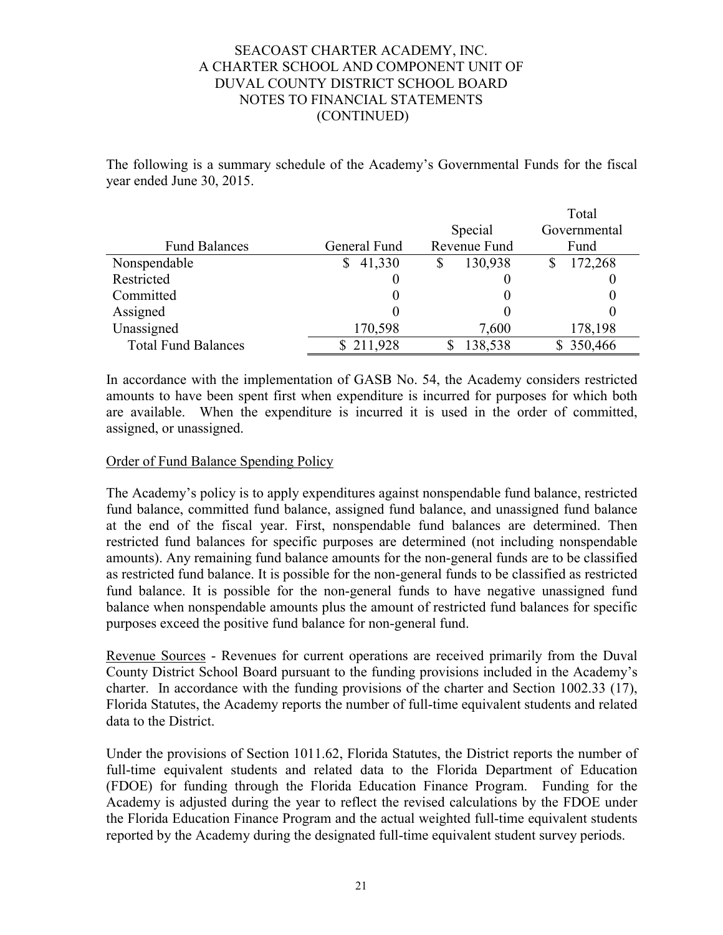The following is a summary schedule of the Academy's Governmental Funds for the fiscal year ended June 30, 2015.

|                            |               |                      | Total        |  |
|----------------------------|---------------|----------------------|--------------|--|
|                            |               | Special              | Governmental |  |
| <b>Fund Balances</b>       | General Fund  | Revenue Fund<br>Fund |              |  |
| Nonspendable               | 41,330        | 130,938              | 172,268      |  |
| Restricted                 |               |                      |              |  |
| Committed                  |               |                      |              |  |
| Assigned                   |               |                      |              |  |
| Unassigned                 | 170,598       | 7,600                | 178,198      |  |
| <b>Total Fund Balances</b> | 211,928<br>S. | 138,538              | \$350,466    |  |

In accordance with the implementation of GASB No. 54, the Academy considers restricted amounts to have been spent first when expenditure is incurred for purposes for which both are available. When the expenditure is incurred it is used in the order of committed, assigned, or unassigned.

# Order of Fund Balance Spending Policy

The Academy's policy is to apply expenditures against nonspendable fund balance, restricted fund balance, committed fund balance, assigned fund balance, and unassigned fund balance at the end of the fiscal year. First, nonspendable fund balances are determined. Then restricted fund balances for specific purposes are determined (not including nonspendable amounts). Any remaining fund balance amounts for the non-general funds are to be classified as restricted fund balance. It is possible for the non-general funds to be classified as restricted fund balance. It is possible for the non-general funds to have negative unassigned fund balance when nonspendable amounts plus the amount of restricted fund balances for specific purposes exceed the positive fund balance for non-general fund.

Revenue Sources - Revenues for current operations are received primarily from the Duval County District School Board pursuant to the funding provisions included in the Academy's charter. In accordance with the funding provisions of the charter and Section 1002.33 (17), Florida Statutes, the Academy reports the number of full-time equivalent students and related data to the District.

Under the provisions of Section 1011.62, Florida Statutes, the District reports the number of full-time equivalent students and related data to the Florida Department of Education (FDOE) for funding through the Florida Education Finance Program. Funding for the Academy is adjusted during the year to reflect the revised calculations by the FDOE under the Florida Education Finance Program and the actual weighted full-time equivalent students reported by the Academy during the designated full-time equivalent student survey periods.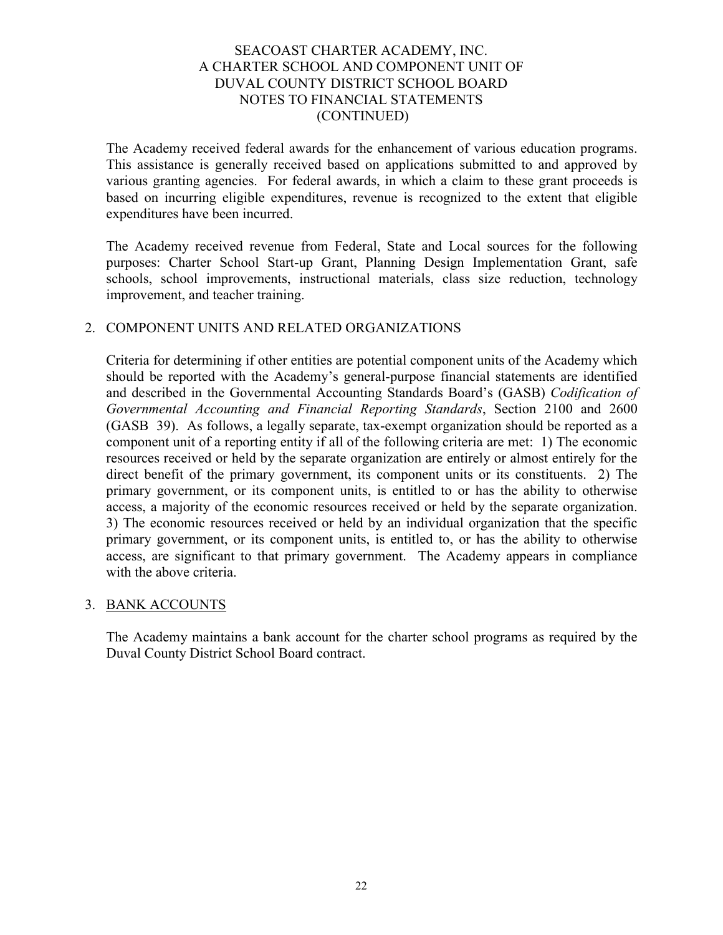The Academy received federal awards for the enhancement of various education programs. This assistance is generally received based on applications submitted to and approved by various granting agencies. For federal awards, in which a claim to these grant proceeds is based on incurring eligible expenditures, revenue is recognized to the extent that eligible expenditures have been incurred.

The Academy received revenue from Federal, State and Local sources for the following purposes: Charter School Start-up Grant, Planning Design Implementation Grant, safe schools, school improvements, instructional materials, class size reduction, technology improvement, and teacher training.

## 2. COMPONENT UNITS AND RELATED ORGANIZATIONS

Criteria for determining if other entities are potential component units of the Academy which should be reported with the Academy's general-purpose financial statements are identified and described in the Governmental Accounting Standards Board's (GASB) *Codification of Governmental Accounting and Financial Reporting Standards*, Section 2100 and 2600 (GASB 39). As follows, a legally separate, tax-exempt organization should be reported as a component unit of a reporting entity if all of the following criteria are met: 1) The economic resources received or held by the separate organization are entirely or almost entirely for the direct benefit of the primary government, its component units or its constituents. 2) The primary government, or its component units, is entitled to or has the ability to otherwise access, a majority of the economic resources received or held by the separate organization. 3) The economic resources received or held by an individual organization that the specific primary government, or its component units, is entitled to, or has the ability to otherwise access, are significant to that primary government. The Academy appears in compliance with the above criteria.

## 3. BANK ACCOUNTS

The Academy maintains a bank account for the charter school programs as required by the Duval County District School Board contract.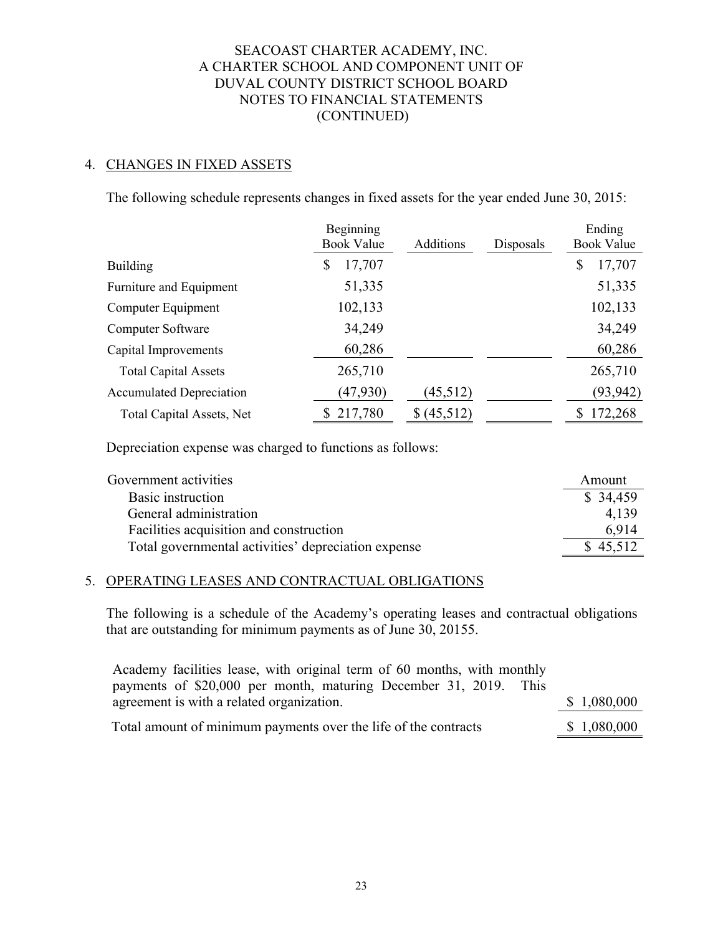# 4. CHANGES IN FIXED ASSETS

The following schedule represents changes in fixed assets for the year ended June 30, 2015:

|                                  | Beginning<br><b>Book Value</b> | Additions   | Disposals | Ending<br><b>Book Value</b> |
|----------------------------------|--------------------------------|-------------|-----------|-----------------------------|
| <b>Building</b>                  | 17,707<br>\$                   |             |           | 17,707<br>\$                |
| Furniture and Equipment          | 51,335                         |             |           | 51,335                      |
| Computer Equipment               | 102,133                        |             |           | 102,133                     |
| Computer Software                | 34,249                         |             |           | 34,249                      |
| Capital Improvements             | 60,286                         |             |           | 60,286                      |
| <b>Total Capital Assets</b>      | 265,710                        |             |           | 265,710                     |
| <b>Accumulated Depreciation</b>  | (47,930)                       | (45, 512)   |           | (93, 942)                   |
| <b>Total Capital Assets, Net</b> | \$217,780                      | \$ (45,512) |           | \$172,268                   |

Depreciation expense was charged to functions as follows:

| Government activities                               | Amount   |
|-----------------------------------------------------|----------|
| Basic instruction                                   | \$34,459 |
| General administration                              | 4.139    |
| Facilities acquisition and construction             | 6.914    |
| Total governmental activities' depreciation expense | \$45,512 |

## 5. OPERATING LEASES AND CONTRACTUAL OBLIGATIONS

The following is a schedule of the Academy's operating leases and contractual obligations that are outstanding for minimum payments as of June 30, 20155.

| Academy facilities lease, with original term of 60 months, with monthly |             |
|-------------------------------------------------------------------------|-------------|
| payments of \$20,000 per month, maturing December 31, 2019. This        |             |
| agreement is with a related organization.                               | \$1,080,000 |
| Total amount of minimum payments over the life of the contracts         | \$1,080,000 |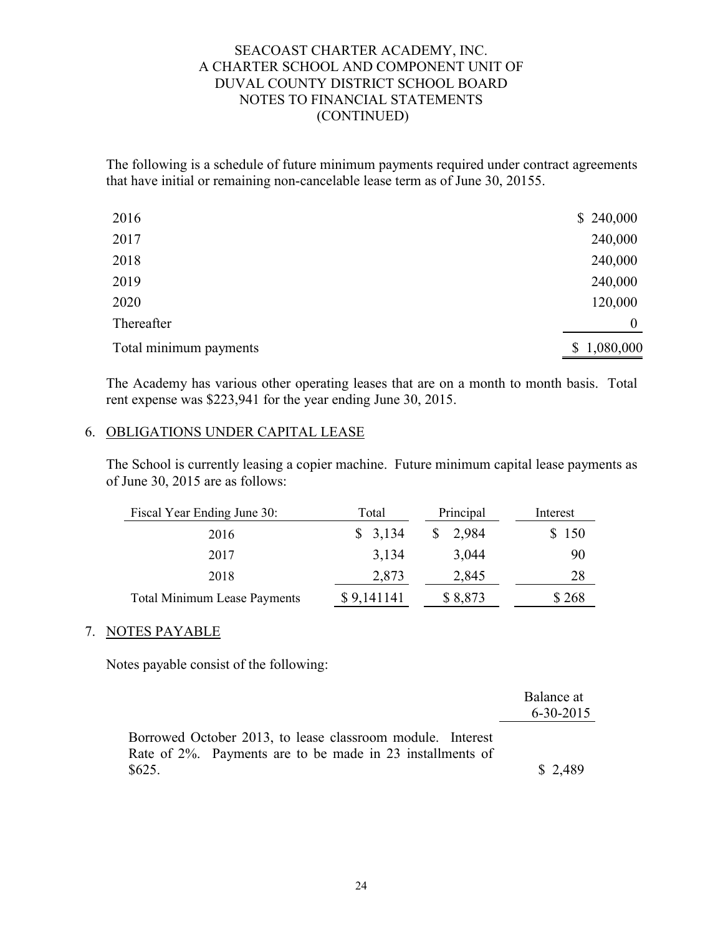The following is a schedule of future minimum payments required under contract agreements that have initial or remaining non-cancelable lease term as of June 30, 20155.

| 2016                   | \$240,000   |
|------------------------|-------------|
| 2017                   | 240,000     |
| 2018                   | 240,000     |
| 2019                   | 240,000     |
| 2020                   | 120,000     |
| Thereafter             | $\theta$    |
| Total minimum payments | \$1,080,000 |

The Academy has various other operating leases that are on a month to month basis. Total rent expense was \$223,941 for the year ending June 30, 2015.

## 6. OBLIGATIONS UNDER CAPITAL LEASE

The School is currently leasing a copier machine. Future minimum capital lease payments as of June 30, 2015 are as follows:

| Fiscal Year Ending June 30:         | Total      | Principal | Interest |
|-------------------------------------|------------|-----------|----------|
| 2016                                | \$3,134    | 2,984     | \$150    |
| 2017                                | 3,134      | 3,044     | 90       |
| 2018                                | 2,873      | 2,845     | 28       |
| <b>Total Minimum Lease Payments</b> | \$9,141141 | \$8,873   | \$268    |

## 7. NOTES PAYABLE

Notes payable consist of the following:

|                                                                                                                         | Balance at<br>$6 - 30 - 2015$ |
|-------------------------------------------------------------------------------------------------------------------------|-------------------------------|
| Borrowed October 2013, to lease classroom module. Interest<br>Rate of 2%. Payments are to be made in 23 installments of |                               |
| \$625.                                                                                                                  | \$2,489                       |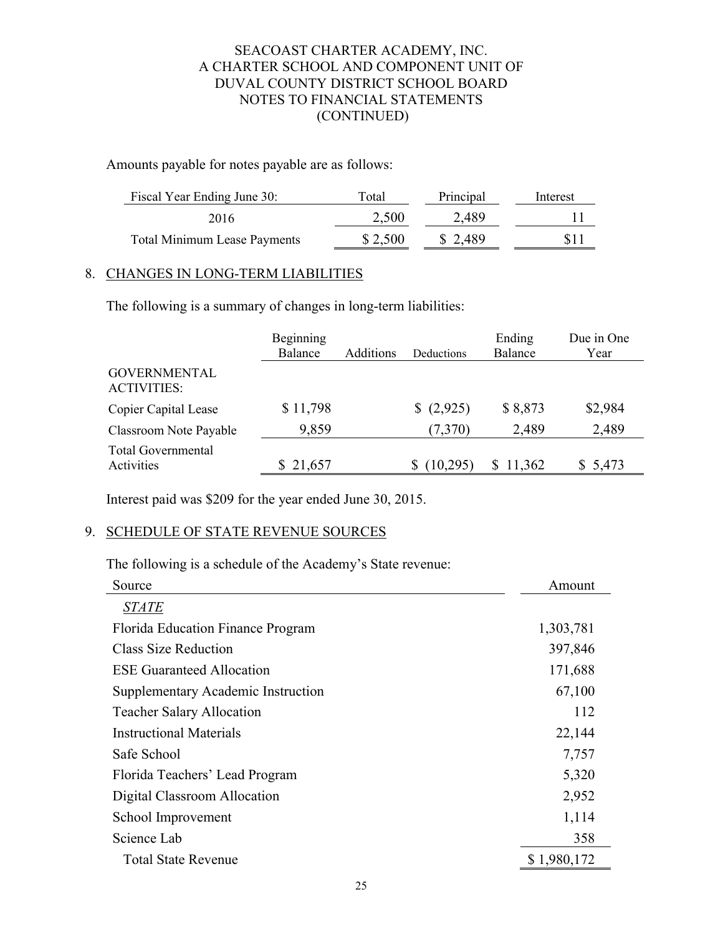Amounts payable for notes payable are as follows:

| Fiscal Year Ending June 30:         | Total   | Principal | Interest |
|-------------------------------------|---------|-----------|----------|
| 2016                                | 2,500   | 2,489     |          |
| <b>Total Minimum Lease Payments</b> | \$2,500 | \$2,489   | \$11     |

# 8. CHANGES IN LONG-TERM LIABILITIES

The following is a summary of changes in long-term liabilities:

|                                           | Beginning<br>Balance | Additions | Deductions | Ending<br>Balance | Due in One<br>Year |
|-------------------------------------------|----------------------|-----------|------------|-------------------|--------------------|
| <b>GOVERNMENTAL</b><br><b>ACTIVITIES:</b> |                      |           |            |                   |                    |
| <b>Copier Capital Lease</b>               | \$11,798             |           | (2,925)    | \$8,873           | \$2,984            |
| Classroom Note Payable                    | 9,859                |           | (7,370)    | 2,489             | 2,489              |
| <b>Total Governmental</b><br>Activities   | \$21,657             |           | (10, 295)  | \$11,362          | \$5,473            |

Interest paid was \$209 for the year ended June 30, 2015.

# 9. SCHEDULE OF STATE REVENUE SOURCES

The following is a schedule of the Academy's State revenue:

| Source                             | Amount      |
|------------------------------------|-------------|
| <b>STATE</b>                       |             |
| Florida Education Finance Program  | 1,303,781   |
| Class Size Reduction               | 397,846     |
| <b>ESE Guaranteed Allocation</b>   | 171,688     |
| Supplementary Academic Instruction | 67,100      |
| <b>Teacher Salary Allocation</b>   | 112         |
| <b>Instructional Materials</b>     | 22,144      |
| Safe School                        | 7,757       |
| Florida Teachers' Lead Program     | 5,320       |
| Digital Classroom Allocation       | 2,952       |
| School Improvement                 | 1,114       |
| Science Lab                        | 358         |
| <b>Total State Revenue</b>         | \$1,980,172 |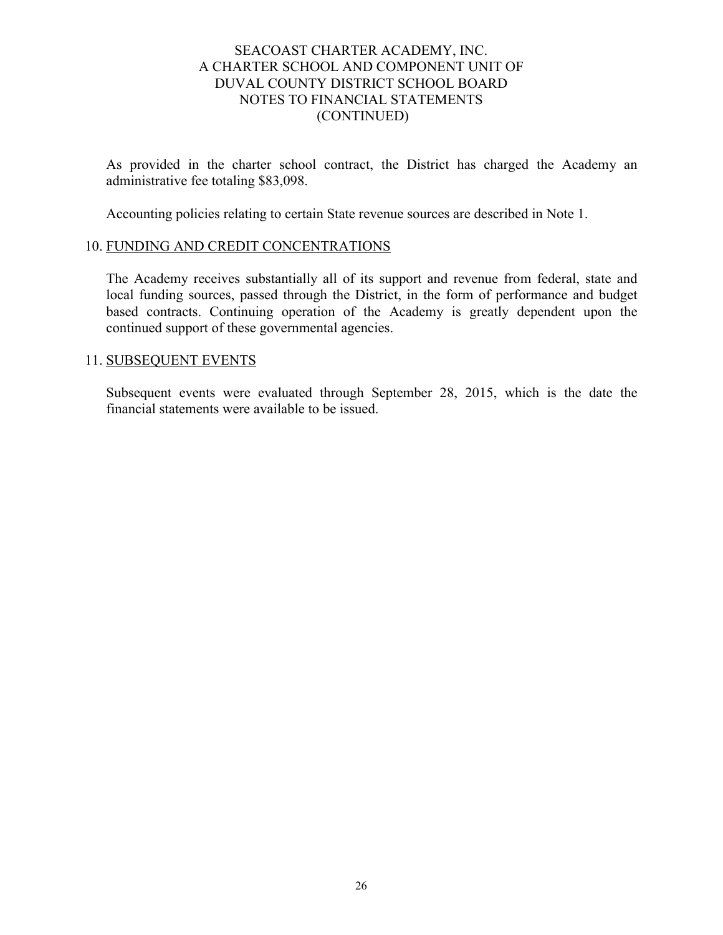As provided in the charter school contract, the District has charged the Academy an administrative fee totaling \$83,098.

Accounting policies relating to certain State revenue sources are described in Note 1.

#### 10. FUNDING AND CREDIT CONCENTRATIONS

The Academy receives substantially all of its support and revenue from federal, state and local funding sources, passed through the District, in the form of performance and budget based contracts. Continuing operation of the Academy is greatly dependent upon the continued support of these governmental agencies.

#### 11. SUBSEQUENT EVENTS

Subsequent events were evaluated through September 28, 2015, which is the date the financial statements were available to be issued.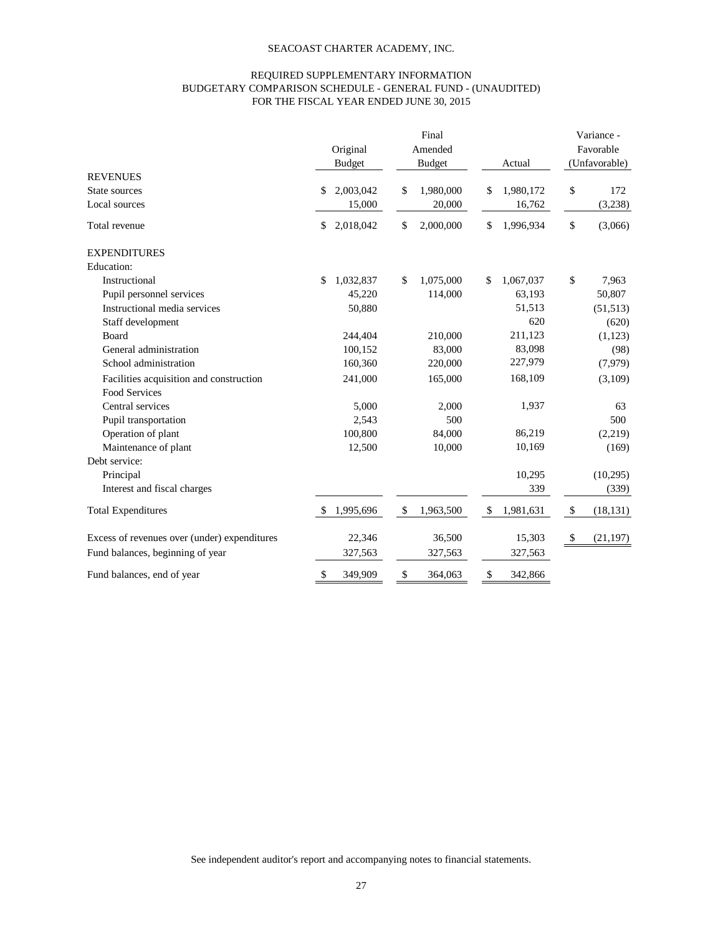#### REQUIRED SUPPLEMENTARY INFORMATION BUDGETARY COMPARISON SCHEDULE - GENERAL FUND - (UNAUDITED) FOR THE FISCAL YEAR ENDED JUNE 30, 2015

|                                              | Original        | Final<br>Amended |                 | Variance -<br>Favorable |  |
|----------------------------------------------|-----------------|------------------|-----------------|-------------------------|--|
|                                              | <b>Budget</b>   | <b>Budget</b>    | Actual          | (Unfavorable)           |  |
| <b>REVENUES</b>                              |                 |                  |                 |                         |  |
| State sources                                | 2,003,042<br>\$ | \$<br>1,980,000  | 1,980,172<br>\$ | \$<br>172               |  |
| Local sources                                | 15,000          | 20,000           | 16,762          | (3,238)                 |  |
| Total revenue                                | \$<br>2,018,042 | \$<br>2,000,000  | \$<br>1,996,934 | \$<br>(3,066)           |  |
| <b>EXPENDITURES</b>                          |                 |                  |                 |                         |  |
| Education:                                   |                 |                  |                 |                         |  |
| Instructional                                | \$<br>1,032,837 | \$<br>1,075,000  | 1,067,037<br>\$ | \$<br>7,963             |  |
| Pupil personnel services                     | 45,220          | 114,000          | 63,193          | 50,807                  |  |
| Instructional media services                 | 50,880          |                  | 51,513          | (51, 513)               |  |
| Staff development                            |                 |                  | 620             | (620)                   |  |
| Board                                        | 244,404         | 210,000          | 211,123         | (1,123)                 |  |
| General administration                       | 100,152         | 83,000           | 83,098          | (98)                    |  |
| School administration                        | 160,360         | 220,000          | 227,979         | (7,979)                 |  |
| Facilities acquisition and construction      | 241,000         | 165,000          | 168,109         | (3,109)                 |  |
| Food Services                                |                 |                  |                 |                         |  |
| Central services                             | 5,000           | 2,000            | 1,937           | 63                      |  |
| Pupil transportation                         | 2,543           | 500              |                 | 500                     |  |
| Operation of plant                           | 100,800         | 84,000           | 86,219          | (2,219)                 |  |
| Maintenance of plant                         | 12,500          | 10,000           | 10,169          | (169)                   |  |
| Debt service:                                |                 |                  |                 |                         |  |
| Principal                                    |                 |                  | 10,295          | (10, 295)               |  |
| Interest and fiscal charges                  |                 |                  | 339             | (339)                   |  |
| <b>Total Expenditures</b>                    | 1,995,696<br>\$ | \$<br>1,963,500  | \$<br>1,981,631 | \$<br>(18, 131)         |  |
| Excess of revenues over (under) expenditures | 22,346          | 36,500           | 15,303          | \$<br>(21, 197)         |  |
| Fund balances, beginning of year             | 327,563         | 327,563          | 327,563         |                         |  |
| Fund balances, end of year                   | \$<br>349,909   | \$<br>364,063    | \$<br>342,866   |                         |  |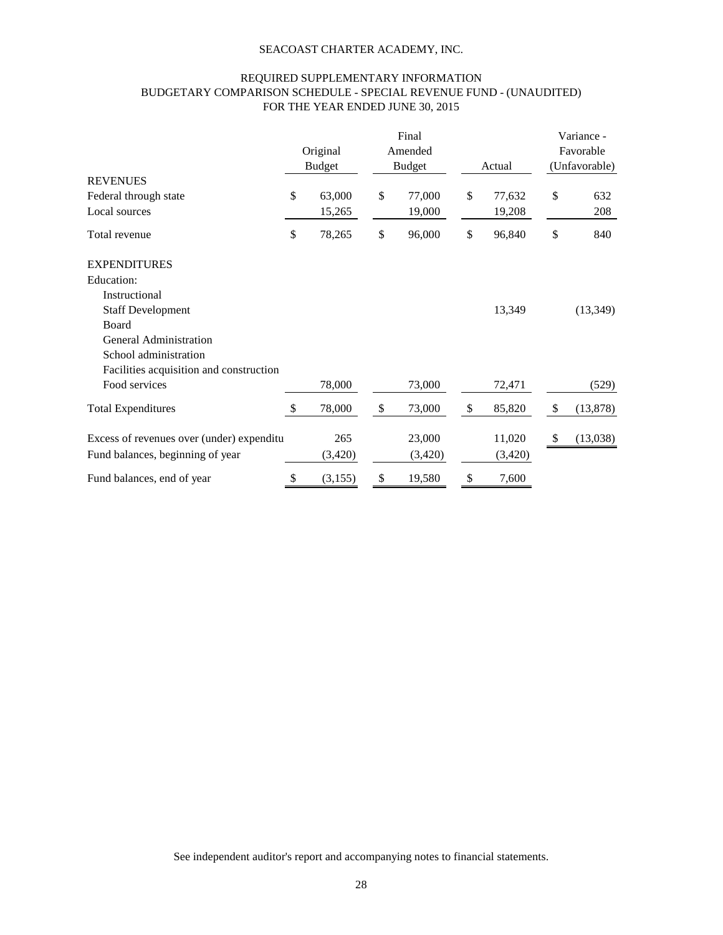#### REQUIRED SUPPLEMENTARY INFORMATION BUDGETARY COMPARISON SCHEDULE - SPECIAL REVENUE FUND - (UNAUDITED) FOR THE YEAR ENDED JUNE 30, 2015

|                                           |               |               | Final         |              |                           | Variance - |
|-------------------------------------------|---------------|---------------|---------------|--------------|---------------------------|------------|
|                                           |               | Original      | Amended       |              |                           | Favorable  |
|                                           |               | <b>Budget</b> | <b>Budget</b> | Actual       | (Unfavorable)             |            |
| <b>REVENUES</b>                           |               |               |               |              |                           |            |
| Federal through state                     | \$            | 63,000        | \$<br>77,000  | \$<br>77,632 | \$                        | 632        |
| Local sources                             |               | 15,265        | 19,000        | 19,208       |                           | 208        |
| Total revenue                             | \$            | 78,265        | \$<br>96,000  | \$<br>96,840 | \$                        | 840        |
| <b>EXPENDITURES</b>                       |               |               |               |              |                           |            |
| Education:                                |               |               |               |              |                           |            |
| Instructional                             |               |               |               |              |                           |            |
| <b>Staff Development</b>                  |               |               |               | 13,349       |                           | (13, 349)  |
| Board                                     |               |               |               |              |                           |            |
| <b>General Administration</b>             |               |               |               |              |                           |            |
| School administration                     |               |               |               |              |                           |            |
| Facilities acquisition and construction   |               |               |               |              |                           |            |
| Food services                             |               | 78,000        | 73,000        | 72,471       |                           | (529)      |
| <b>Total Expenditures</b>                 | <sup>\$</sup> | 78,000        | \$<br>73,000  | \$<br>85,820 | $\boldsymbol{\mathsf{S}}$ | (13,878)   |
| Excess of revenues over (under) expenditu |               | 265           | 23,000        | 11,020       | $\boldsymbol{\mathsf{S}}$ | (13,038)   |
| Fund balances, beginning of year          |               | (3,420)       | (3,420)       | (3,420)      |                           |            |
| Fund balances, end of year                | \$            | (3, 155)      | \$<br>19,580  | \$<br>7,600  |                           |            |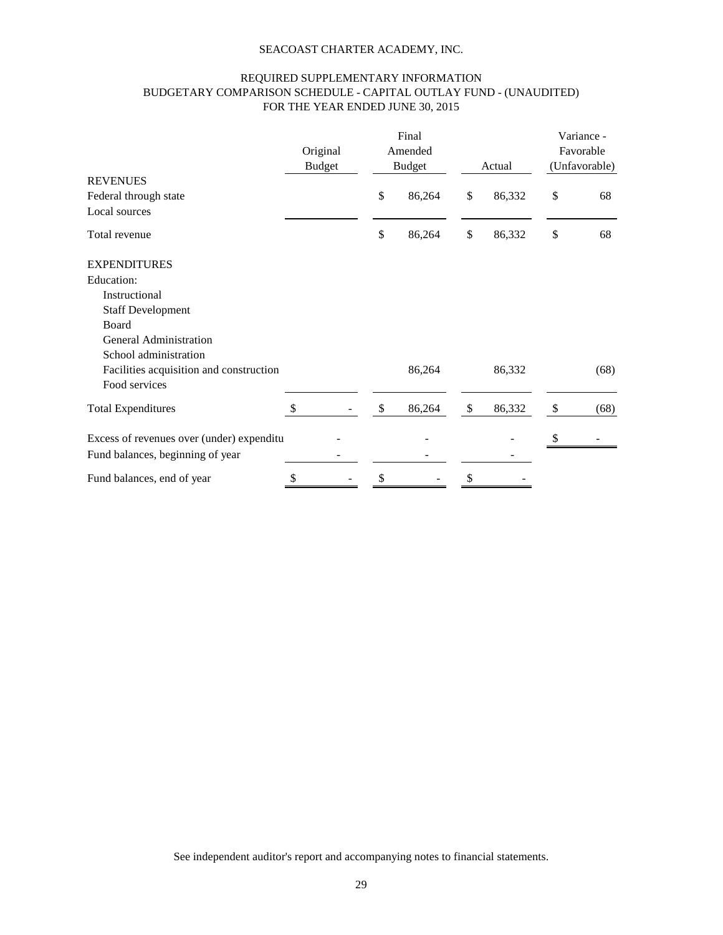#### REQUIRED SUPPLEMENTARY INFORMATION BUDGETARY COMPARISON SCHEDULE - CAPITAL OUTLAY FUND - (UNAUDITED) FOR THE YEAR ENDED JUNE 30, 2015

|                                           |                           |  |               | Final   |              |           | Variance -    |
|-------------------------------------------|---------------------------|--|---------------|---------|--------------|-----------|---------------|
|                                           | Original<br><b>Budget</b> |  |               | Amended |              | Favorable |               |
|                                           |                           |  | <b>Budget</b> |         | Actual       |           | (Unfavorable) |
| <b>REVENUES</b>                           |                           |  |               |         |              |           |               |
| Federal through state                     |                           |  | \$            | 86,264  | \$<br>86,332 | \$        | 68            |
| Local sources                             |                           |  |               |         |              |           |               |
| Total revenue                             |                           |  | $\$$          | 86,264  | \$<br>86,332 | \$        | 68            |
| <b>EXPENDITURES</b>                       |                           |  |               |         |              |           |               |
| Education:                                |                           |  |               |         |              |           |               |
| Instructional                             |                           |  |               |         |              |           |               |
| <b>Staff Development</b>                  |                           |  |               |         |              |           |               |
| Board                                     |                           |  |               |         |              |           |               |
| General Administration                    |                           |  |               |         |              |           |               |
| School administration                     |                           |  |               |         |              |           |               |
| Facilities acquisition and construction   |                           |  |               | 86,264  | 86,332       |           | (68)          |
| Food services                             |                           |  |               |         |              |           |               |
| <b>Total Expenditures</b>                 | \$                        |  | \$            | 86,264  | \$<br>86,332 | \$        | (68)          |
| Excess of revenues over (under) expenditu |                           |  |               |         |              | S,        |               |
| Fund balances, beginning of year          |                           |  |               |         |              |           |               |
| Fund balances, end of year                | \$                        |  | \$            |         | \$           |           |               |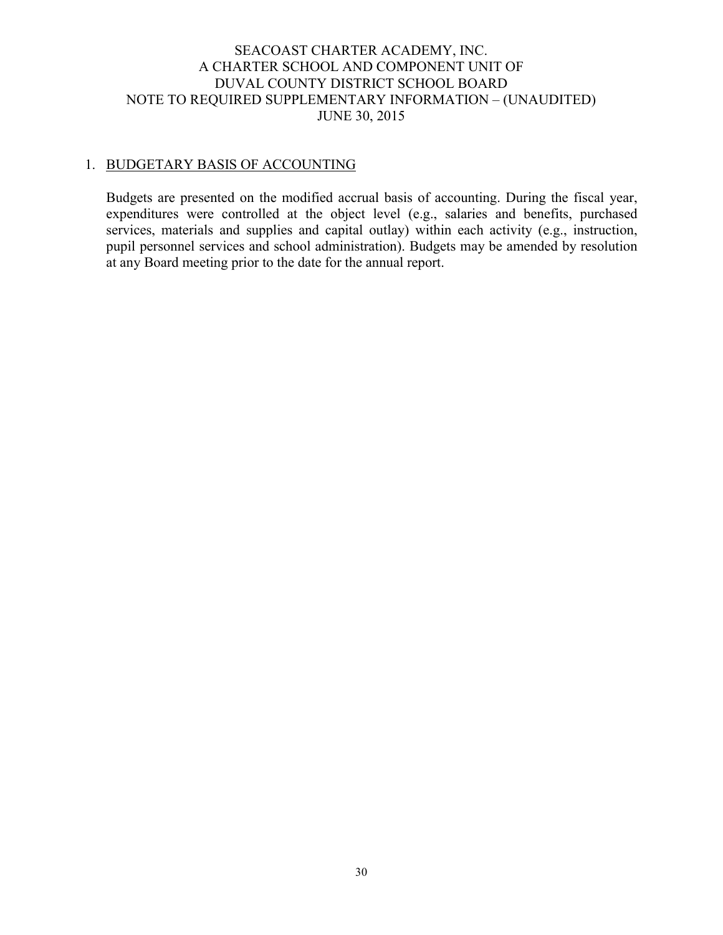## SEACOAST CHARTER ACADEMY, INC. A CHARTER SCHOOL AND COMPONENT UNIT OF DUVAL COUNTY DISTRICT SCHOOL BOARD NOTE TO REQUIRED SUPPLEMENTARY INFORMATION – (UNAUDITED) JUNE 30, 2015

# 1. BUDGETARY BASIS OF ACCOUNTING

Budgets are presented on the modified accrual basis of accounting. During the fiscal year, expenditures were controlled at the object level (e.g., salaries and benefits, purchased services, materials and supplies and capital outlay) within each activity (e.g., instruction, pupil personnel services and school administration). Budgets may be amended by resolution at any Board meeting prior to the date for the annual report.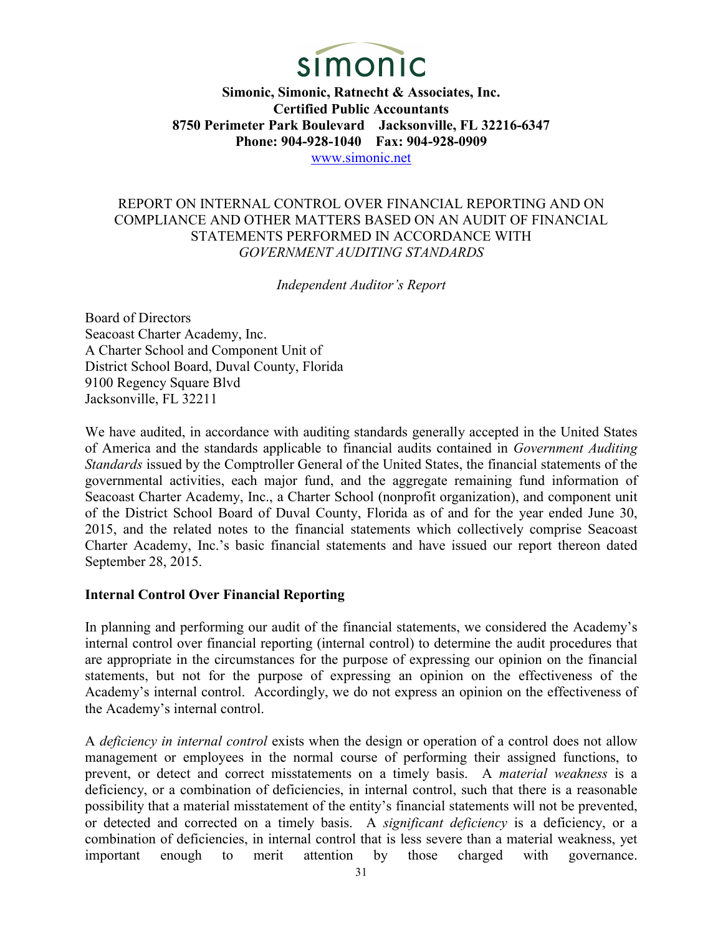

## REPORT ON INTERNAL CONTROL OVER FINANCIAL REPORTING AND ON COMPLIANCE AND OTHER MATTERS BASED ON AN AUDIT OF FINANCIAL STATEMENTS PERFORMED IN ACCORDANCE WITH *GOVERNMENT AUDITING STANDARDS*

*Independent Auditor's Report*

Board of Directors Seacoast Charter Academy, Inc. A Charter School and Component Unit of District School Board, Duval County, Florida 9100 Regency Square Blvd Jacksonville, FL 32211

We have audited, in accordance with auditing standards generally accepted in the United States of America and the standards applicable to financial audits contained in *Government Auditing Standards* issued by the Comptroller General of the United States, the financial statements of the governmental activities, each major fund, and the aggregate remaining fund information of Seacoast Charter Academy, Inc., a Charter School (nonprofit organization), and component unit of the District School Board of Duval County, Florida as of and for the year ended June 30, 2015, and the related notes to the financial statements which collectively comprise Seacoast Charter Academy, Inc.'s basic financial statements and have issued our report thereon dated September 28, 2015.

## **Internal Control Over Financial Reporting**

In planning and performing our audit of the financial statements, we considered the Academy's internal control over financial reporting (internal control) to determine the audit procedures that are appropriate in the circumstances for the purpose of expressing our opinion on the financial statements, but not for the purpose of expressing an opinion on the effectiveness of the Academy's internal control. Accordingly, we do not express an opinion on the effectiveness of the Academy's internal control.

A *deficiency in internal control* exists when the design or operation of a control does not allow management or employees in the normal course of performing their assigned functions, to prevent, or detect and correct misstatements on a timely basis. A *material weakness* is a deficiency, or a combination of deficiencies, in internal control, such that there is a reasonable possibility that a material misstatement of the entity's financial statements will not be prevented, or detected and corrected on a timely basis. A *significant deficiency* is a deficiency, or a combination of deficiencies, in internal control that is less severe than a material weakness, yet important enough to merit attention by those charged with governance.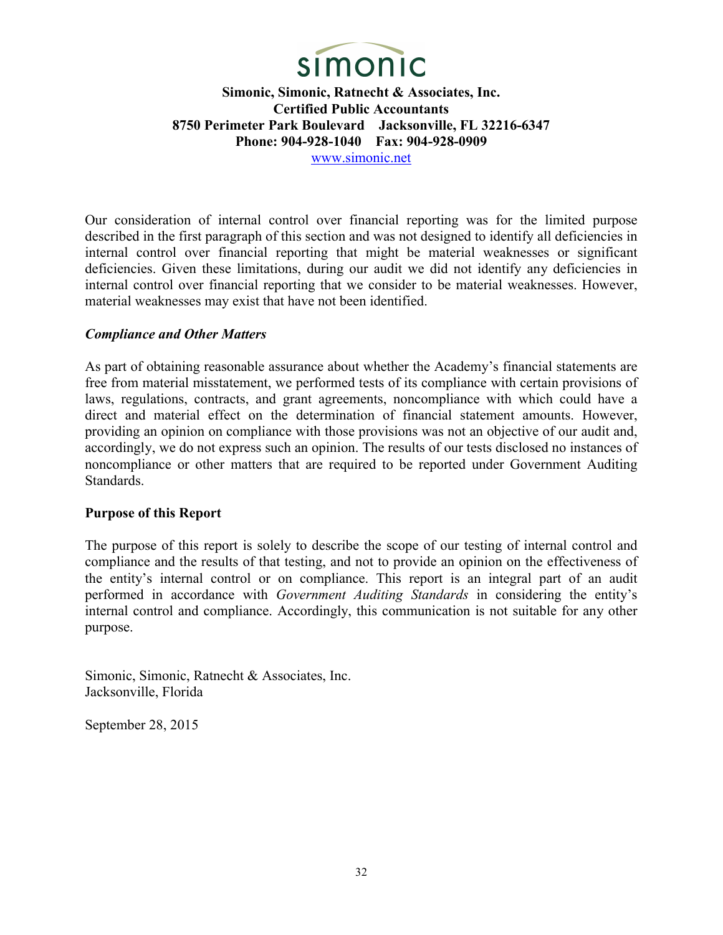

Our consideration of internal control over financial reporting was for the limited purpose described in the first paragraph of this section and was not designed to identify all deficiencies in internal control over financial reporting that might be material weaknesses or significant deficiencies. Given these limitations, during our audit we did not identify any deficiencies in internal control over financial reporting that we consider to be material weaknesses. However, material weaknesses may exist that have not been identified.

## *Compliance and Other Matters*

As part of obtaining reasonable assurance about whether the Academy's financial statements are free from material misstatement, we performed tests of its compliance with certain provisions of laws, regulations, contracts, and grant agreements, noncompliance with which could have a direct and material effect on the determination of financial statement amounts. However, providing an opinion on compliance with those provisions was not an objective of our audit and, accordingly, we do not express such an opinion. The results of our tests disclosed no instances of noncompliance or other matters that are required to be reported under Government Auditing Standards.

#### **Purpose of this Report**

The purpose of this report is solely to describe the scope of our testing of internal control and compliance and the results of that testing, and not to provide an opinion on the effectiveness of the entity's internal control or on compliance. This report is an integral part of an audit performed in accordance with *Government Auditing Standards* in considering the entity's internal control and compliance. Accordingly, this communication is not suitable for any other purpose.

Simonic, Simonic, Ratnecht & Associates, Inc. Jacksonville, Florida

September 28, 2015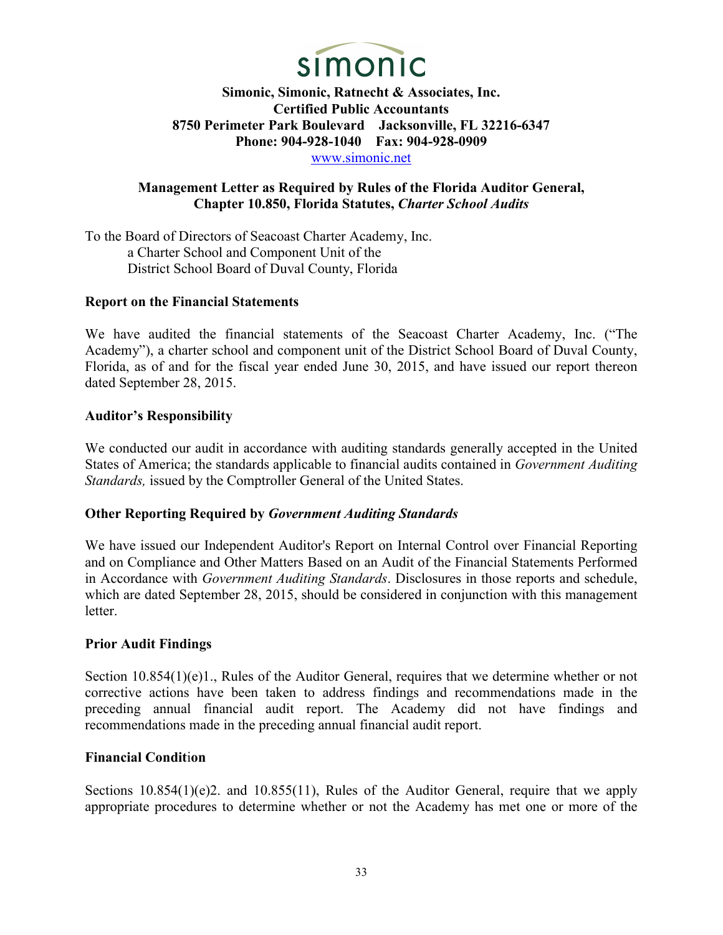

# **Management Letter as Required by Rules of the Florida Auditor General, Chapter 10.850, Florida Statutes,** *Charter School Audits*

To the Board of Directors of Seacoast Charter Academy, Inc. a Charter School and Component Unit of the District School Board of Duval County, Florida

## **Report on the Financial Statements**

We have audited the financial statements of the Seacoast Charter Academy, Inc. ("The Academy"), a charter school and component unit of the District School Board of Duval County, Florida, as of and for the fiscal year ended June 30, 2015, and have issued our report thereon dated September 28, 2015.

## **Auditor's Responsibility**

We conducted our audit in accordance with auditing standards generally accepted in the United States of America; the standards applicable to financial audits contained in *Government Auditing Standards,* issued by the Comptroller General of the United States.

## **Other Reporting Required by** *Government Auditing Standards*

We have issued our Independent Auditor's Report on Internal Control over Financial Reporting and on Compliance and Other Matters Based on an Audit of the Financial Statements Performed in Accordance with *Government Auditing Standards*. Disclosures in those reports and schedule, which are dated September 28, 2015, should be considered in conjunction with this management letter.

## **Prior Audit Findings**

Section 10.854(1)(e)1., Rules of the Auditor General, requires that we determine whether or not corrective actions have been taken to address findings and recommendations made in the preceding annual financial audit report. The Academy did not have findings and recommendations made in the preceding annual financial audit report.

## **Financial Condit**i**on**

Sections 10.854(1)(e)2. and 10.855(11), Rules of the Auditor General, require that we apply appropriate procedures to determine whether or not the Academy has met one or more of the